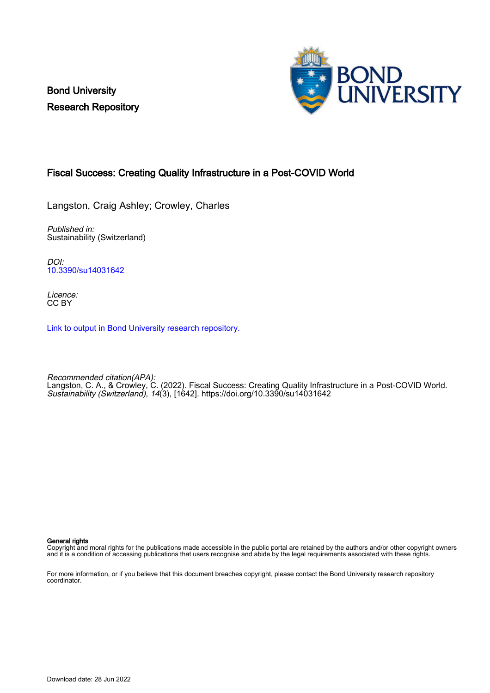Bond University Research Repository



# Fiscal Success: Creating Quality Infrastructure in a Post-COVID World

Langston, Craig Ashley; Crowley, Charles

Published in: Sustainability (Switzerland)

DOI: [10.3390/su14031642](https://doi.org/10.3390/su14031642)

Licence: CC BY

[Link to output in Bond University research repository.](https://research.bond.edu.au/en/publications/b670ba68-ce4d-42a3-828c-5648dcd8548e)

Recommended citation(APA): Langston, C. A., & Crowley, C. (2022). Fiscal Success: Creating Quality Infrastructure in a Post-COVID World. Sustainability (Switzerland), 14(3), [1642]. <https://doi.org/10.3390/su14031642>

General rights

Copyright and moral rights for the publications made accessible in the public portal are retained by the authors and/or other copyright owners and it is a condition of accessing publications that users recognise and abide by the legal requirements associated with these rights.

For more information, or if you believe that this document breaches copyright, please contact the Bond University research repository coordinator.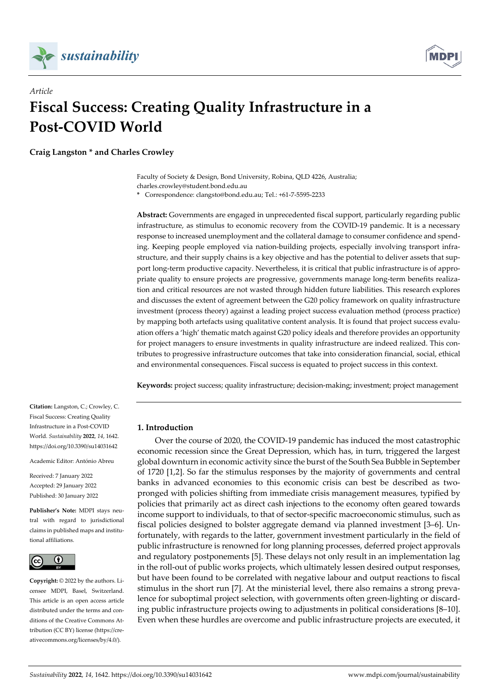

*Article* 



# **Fiscal Success: Creating Quality Infrastructure in a Post-COVID World**

**Craig Langston \* and Charles Crowley** 

Faculty of Society & Design, Bond University, Robina, QLD 4226, Australia; charles.crowley@student.bond.edu.au

**\*** Correspondence: clangsto@bond.edu.au; Tel.: +61-7-5595-2233

**Abstract:** Governments are engaged in unprecedented fiscal support, particularly regarding public infrastructure, as stimulus to economic recovery from the COVID-19 pandemic. It is a necessary response to increased unemployment and the collateral damage to consumer confidence and spending. Keeping people employed via nation-building projects, especially involving transport infrastructure, and their supply chains is a key objective and has the potential to deliver assets that support long-term productive capacity. Nevertheless, it is critical that public infrastructure is of appropriate quality to ensure projects are progressive, governments manage long-term benefits realization and critical resources are not wasted through hidden future liabilities. This research explores and discusses the extent of agreement between the G20 policy framework on quality infrastructure investment (process theory) against a leading project success evaluation method (process practice) by mapping both artefacts using qualitative content analysis. It is found that project success evaluation offers a 'high' thematic match against G20 policy ideals and therefore provides an opportunity for project managers to ensure investments in quality infrastructure are indeed realized. This contributes to progressive infrastructure outcomes that take into consideration financial, social, ethical and environmental consequences. Fiscal success is equated to project success in this context.

**Keywords:** project success; quality infrastructure; decision-making; investment; project management

# **1. Introduction**

Over the course of 2020, the COVID-19 pandemic has induced the most catastrophic economic recession since the Great Depression, which has, in turn, triggered the largest global downturn in economic activity since the burst of the South Sea Bubble in September of 1720 [1,2]. So far the stimulus responses by the majority of governments and central banks in advanced economies to this economic crisis can best be described as twopronged with policies shifting from immediate crisis management measures, typified by policies that primarily act as direct cash injections to the economy often geared towards income support to individuals, to that of sector-specific macroeconomic stimulus, such as fiscal policies designed to bolster aggregate demand via planned investment [3–6]. Unfortunately, with regards to the latter, government investment particularly in the field of public infrastructure is renowned for long planning processes, deferred project approvals and regulatory postponements [5]. These delays not only result in an implementation lag in the roll-out of public works projects, which ultimately lessen desired output responses, but have been found to be correlated with negative labour and output reactions to fiscal stimulus in the short run [7]. At the ministerial level, there also remains a strong prevalence for suboptimal project selection, with governments often green-lighting or discarding public infrastructure projects owing to adjustments in political considerations [8–10]. Even when these hurdles are overcome and public infrastructure projects are executed, it

**Citation:** Langston, C.; Crowley, C. Fiscal Success: Creating Quality Infrastructure in a Post-COVID World. *Sustainability* **2022**, *14*, 1642. https://doi.org/10.3390/su14031642

Academic Editor: António Abreu

Received: 7 January 2022 Accepted: 29 January 2022 Published: 30 January 2022

**Publisher's Note:** MDPI stays neutral with regard to jurisdictional claims in published maps and institutional affiliations.



**Copyright:** © 2022 by the authors. Licensee MDPI, Basel, Switzerland. This article is an open access article distributed under the terms and conditions of the Creative Commons Attribution (CC BY) license (https://creativecommons.org/licenses/by/4.0/).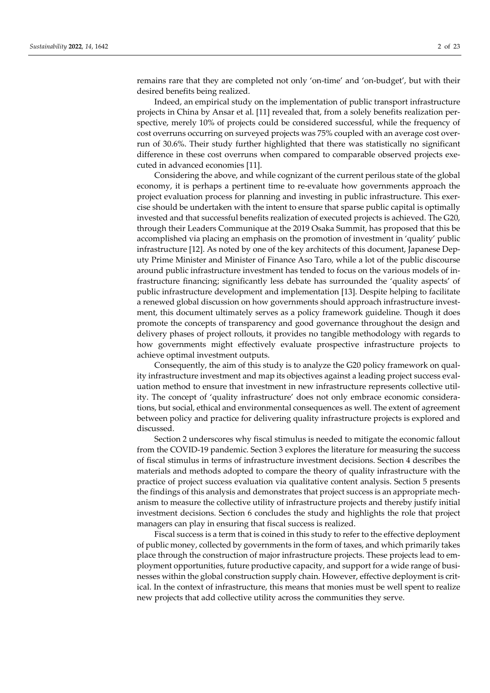remains rare that they are completed not only 'on-time' and 'on-budget', but with their desired benefits being realized.

Indeed, an empirical study on the implementation of public transport infrastructure projects in China by Ansar et al. [11] revealed that, from a solely benefits realization perspective, merely 10% of projects could be considered successful, while the frequency of cost overruns occurring on surveyed projects was 75% coupled with an average cost overrun of 30.6%. Their study further highlighted that there was statistically no significant difference in these cost overruns when compared to comparable observed projects executed in advanced economies [11].

Considering the above, and while cognizant of the current perilous state of the global economy, it is perhaps a pertinent time to re-evaluate how governments approach the project evaluation process for planning and investing in public infrastructure. This exercise should be undertaken with the intent to ensure that sparse public capital is optimally invested and that successful benefits realization of executed projects is achieved. The G20, through their Leaders Communique at the 2019 Osaka Summit, has proposed that this be accomplished via placing an emphasis on the promotion of investment in 'quality' public infrastructure [12]. As noted by one of the key architects of this document, Japanese Deputy Prime Minister and Minister of Finance Aso Taro, while a lot of the public discourse around public infrastructure investment has tended to focus on the various models of infrastructure financing; significantly less debate has surrounded the 'quality aspects' of public infrastructure development and implementation [13]. Despite helping to facilitate a renewed global discussion on how governments should approach infrastructure investment, this document ultimately serves as a policy framework guideline. Though it does promote the concepts of transparency and good governance throughout the design and delivery phases of project rollouts, it provides no tangible methodology with regards to how governments might effectively evaluate prospective infrastructure projects to achieve optimal investment outputs.

Consequently, the aim of this study is to analyze the G20 policy framework on quality infrastructure investment and map its objectives against a leading project success evaluation method to ensure that investment in new infrastructure represents collective utility. The concept of 'quality infrastructure' does not only embrace economic considerations, but social, ethical and environmental consequences as well. The extent of agreement between policy and practice for delivering quality infrastructure projects is explored and discussed.

Section 2 underscores why fiscal stimulus is needed to mitigate the economic fallout from the COVID-19 pandemic. Section 3 explores the literature for measuring the success of fiscal stimulus in terms of infrastructure investment decisions. Section 4 describes the materials and methods adopted to compare the theory of quality infrastructure with the practice of project success evaluation via qualitative content analysis. Section 5 presents the findings of this analysis and demonstrates that project success is an appropriate mechanism to measure the collective utility of infrastructure projects and thereby justify initial investment decisions. Section 6 concludes the study and highlights the role that project managers can play in ensuring that fiscal success is realized.

Fiscal success is a term that is coined in this study to refer to the effective deployment of public money, collected by governments in the form of taxes, and which primarily takes place through the construction of major infrastructure projects. These projects lead to employment opportunities, future productive capacity, and support for a wide range of businesses within the global construction supply chain. However, effective deployment is critical. In the context of infrastructure, this means that monies must be well spent to realize new projects that add collective utility across the communities they serve.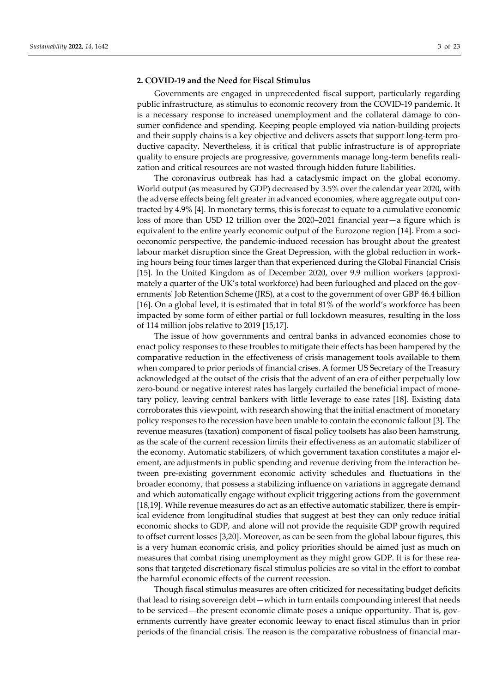#### **2. COVID-19 and the Need for Fiscal Stimulus**

Governments are engaged in unprecedented fiscal support, particularly regarding public infrastructure, as stimulus to economic recovery from the COVID-19 pandemic. It is a necessary response to increased unemployment and the collateral damage to consumer confidence and spending. Keeping people employed via nation-building projects and their supply chains is a key objective and delivers assets that support long-term productive capacity. Nevertheless, it is critical that public infrastructure is of appropriate quality to ensure projects are progressive, governments manage long-term benefits realization and critical resources are not wasted through hidden future liabilities.

The coronavirus outbreak has had a cataclysmic impact on the global economy. World output (as measured by GDP) decreased by 3.5% over the calendar year 2020, with the adverse effects being felt greater in advanced economies, where aggregate output contracted by 4.9% [4]. In monetary terms, this is forecast to equate to a cumulative economic loss of more than USD 12 trillion over the 2020–2021 financial year—a figure which is equivalent to the entire yearly economic output of the Eurozone region [14]. From a socioeconomic perspective, the pandemic-induced recession has brought about the greatest labour market disruption since the Great Depression, with the global reduction in working hours being four times larger than that experienced during the Global Financial Crisis [15]. In the United Kingdom as of December 2020, over 9.9 million workers (approximately a quarter of the UK's total workforce) had been furloughed and placed on the governments' Job Retention Scheme (JRS), at a cost to the government of over GBP 46.4 billion [16]. On a global level, it is estimated that in total 81% of the world's workforce has been impacted by some form of either partial or full lockdown measures, resulting in the loss of 114 million jobs relative to 2019 [15,17].

The issue of how governments and central banks in advanced economies chose to enact policy responses to these troubles to mitigate their effects has been hampered by the comparative reduction in the effectiveness of crisis management tools available to them when compared to prior periods of financial crises. A former US Secretary of the Treasury acknowledged at the outset of the crisis that the advent of an era of either perpetually low zero-bound or negative interest rates has largely curtailed the beneficial impact of monetary policy, leaving central bankers with little leverage to ease rates [18]. Existing data corroborates this viewpoint, with research showing that the initial enactment of monetary policy responses to the recession have been unable to contain the economic fallout [3]. The revenue measures (taxation) component of fiscal policy toolsets has also been hamstrung, as the scale of the current recession limits their effectiveness as an automatic stabilizer of the economy. Automatic stabilizers, of which government taxation constitutes a major element, are adjustments in public spending and revenue deriving from the interaction between pre-existing government economic activity schedules and fluctuations in the broader economy, that possess a stabilizing influence on variations in aggregate demand and which automatically engage without explicit triggering actions from the government [18,19]. While revenue measures do act as an effective automatic stabilizer, there is empirical evidence from longitudinal studies that suggest at best they can only reduce initial economic shocks to GDP, and alone will not provide the requisite GDP growth required to offset current losses [3,20]. Moreover, as can be seen from the global labour figures, this is a very human economic crisis, and policy priorities should be aimed just as much on measures that combat rising unemployment as they might grow GDP. It is for these reasons that targeted discretionary fiscal stimulus policies are so vital in the effort to combat the harmful economic effects of the current recession.

Though fiscal stimulus measures are often criticized for necessitating budget deficits that lead to rising sovereign debt—which in turn entails compounding interest that needs to be serviced—the present economic climate poses a unique opportunity. That is, governments currently have greater economic leeway to enact fiscal stimulus than in prior periods of the financial crisis. The reason is the comparative robustness of financial mar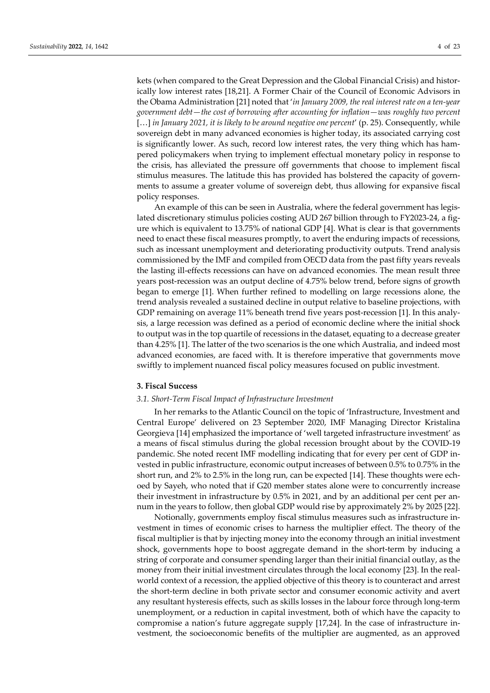kets (when compared to the Great Depression and the Global Financial Crisis) and historically low interest rates [18,21]. A Former Chair of the Council of Economic Advisors in the Obama Administration [21] noted that '*in January 2009, the real interest rate on a ten-year government debt—the cost of borrowing after accounting for inflation—was roughly two percent* [...] *in January 2021, it is likely to be around negative one percent'* (p. 25). Consequently, while sovereign debt in many advanced economies is higher today, its associated carrying cost is significantly lower. As such, record low interest rates, the very thing which has hampered policymakers when trying to implement effectual monetary policy in response to the crisis, has alleviated the pressure off governments that choose to implement fiscal stimulus measures. The latitude this has provided has bolstered the capacity of governments to assume a greater volume of sovereign debt, thus allowing for expansive fiscal policy responses.

An example of this can be seen in Australia, where the federal government has legislated discretionary stimulus policies costing AUD 267 billion through to FY2023-24, a figure which is equivalent to 13.75% of national GDP [4]. What is clear is that governments need to enact these fiscal measures promptly, to avert the enduring impacts of recessions, such as incessant unemployment and deteriorating productivity outputs. Trend analysis commissioned by the IMF and compiled from OECD data from the past fifty years reveals the lasting ill-effects recessions can have on advanced economies. The mean result three years post-recession was an output decline of 4.75% below trend, before signs of growth began to emerge [1]. When further refined to modelling on large recessions alone, the trend analysis revealed a sustained decline in output relative to baseline projections, with GDP remaining on average 11% beneath trend five years post-recession [1]. In this analysis, a large recession was defined as a period of economic decline where the initial shock to output was in the top quartile of recessions in the dataset, equating to a decrease greater than 4.25% [1]. The latter of the two scenarios is the one which Australia, and indeed most advanced economies, are faced with. It is therefore imperative that governments move swiftly to implement nuanced fiscal policy measures focused on public investment.

## **3. Fiscal Success**

#### *3.1. Short-Term Fiscal Impact of Infrastructure Investment*

In her remarks to the Atlantic Council on the topic of 'Infrastructure, Investment and Central Europe' delivered on 23 September 2020, IMF Managing Director Kristalina Georgieva [14] emphasized the importance of 'well targeted infrastructure investment' as a means of fiscal stimulus during the global recession brought about by the COVID-19 pandemic. She noted recent IMF modelling indicating that for every per cent of GDP invested in public infrastructure, economic output increases of between 0.5% to 0.75% in the short run, and 2% to 2.5% in the long run, can be expected [14]. These thoughts were echoed by Sayeh, who noted that if G20 member states alone were to concurrently increase their investment in infrastructure by 0.5% in 2021, and by an additional per cent per annum in the years to follow, then global GDP would rise by approximately 2% by 2025 [22].

Notionally, governments employ fiscal stimulus measures such as infrastructure investment in times of economic crises to harness the multiplier effect. The theory of the fiscal multiplier is that by injecting money into the economy through an initial investment shock, governments hope to boost aggregate demand in the short-term by inducing a string of corporate and consumer spending larger than their initial financial outlay, as the money from their initial investment circulates through the local economy [23]. In the realworld context of a recession, the applied objective of this theory is to counteract and arrest the short-term decline in both private sector and consumer economic activity and avert any resultant hysteresis effects, such as skills losses in the labour force through long-term unemployment, or a reduction in capital investment, both of which have the capacity to compromise a nation's future aggregate supply [17,24]. In the case of infrastructure investment, the socioeconomic benefits of the multiplier are augmented, as an approved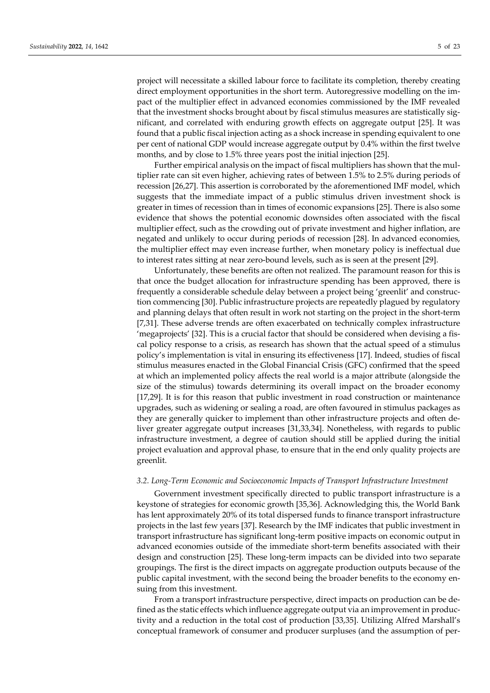project will necessitate a skilled labour force to facilitate its completion, thereby creating direct employment opportunities in the short term. Autoregressive modelling on the impact of the multiplier effect in advanced economies commissioned by the IMF revealed that the investment shocks brought about by fiscal stimulus measures are statistically significant, and correlated with enduring growth effects on aggregate output [25]. It was found that a public fiscal injection acting as a shock increase in spending equivalent to one per cent of national GDP would increase aggregate output by 0.4% within the first twelve months, and by close to 1.5% three years post the initial injection [25].

Further empirical analysis on the impact of fiscal multipliers has shown that the multiplier rate can sit even higher, achieving rates of between 1.5% to 2.5% during periods of recession [26,27]. This assertion is corroborated by the aforementioned IMF model, which suggests that the immediate impact of a public stimulus driven investment shock is greater in times of recession than in times of economic expansions [25]. There is also some evidence that shows the potential economic downsides often associated with the fiscal multiplier effect, such as the crowding out of private investment and higher inflation, are negated and unlikely to occur during periods of recession [28]. In advanced economies, the multiplier effect may even increase further, when monetary policy is ineffectual due to interest rates sitting at near zero-bound levels, such as is seen at the present [29].

Unfortunately, these benefits are often not realized. The paramount reason for this is that once the budget allocation for infrastructure spending has been approved, there is frequently a considerable schedule delay between a project being 'greenlit' and construction commencing [30]. Public infrastructure projects are repeatedly plagued by regulatory and planning delays that often result in work not starting on the project in the short-term [7,31]. These adverse trends are often exacerbated on technically complex infrastructure 'megaprojects' [32]. This is a crucial factor that should be considered when devising a fiscal policy response to a crisis, as research has shown that the actual speed of a stimulus policy's implementation is vital in ensuring its effectiveness [17]. Indeed, studies of fiscal stimulus measures enacted in the Global Financial Crisis (GFC) confirmed that the speed at which an implemented policy affects the real world is a major attribute (alongside the size of the stimulus) towards determining its overall impact on the broader economy [17,29]. It is for this reason that public investment in road construction or maintenance upgrades, such as widening or sealing a road, are often favoured in stimulus packages as they are generally quicker to implement than other infrastructure projects and often deliver greater aggregate output increases [31,33,34]. Nonetheless, with regards to public infrastructure investment, a degree of caution should still be applied during the initial project evaluation and approval phase, to ensure that in the end only quality projects are greenlit.

#### *3.2. Long-Term Economic and Socioeconomic Impacts of Transport Infrastructure Investment*

Government investment specifically directed to public transport infrastructure is a keystone of strategies for economic growth [35,36]. Acknowledging this, the World Bank has lent approximately 20% of its total dispersed funds to finance transport infrastructure projects in the last few years [37]. Research by the IMF indicates that public investment in transport infrastructure has significant long-term positive impacts on economic output in advanced economies outside of the immediate short-term benefits associated with their design and construction [25]. These long-term impacts can be divided into two separate groupings. The first is the direct impacts on aggregate production outputs because of the public capital investment, with the second being the broader benefits to the economy ensuing from this investment.

From a transport infrastructure perspective, direct impacts on production can be defined as the static effects which influence aggregate output via an improvement in productivity and a reduction in the total cost of production [33,35]. Utilizing Alfred Marshall's conceptual framework of consumer and producer surpluses (and the assumption of per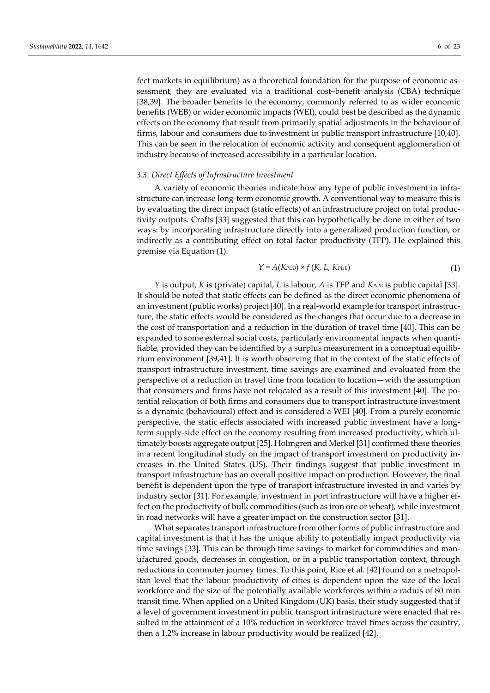fect markets in equilibrium) as a theoretical foundation for the purpose of economic assessment, they are evaluated via a traditional cost–benefit analysis (CBA) technique [38,39]. The broader benefits to the economy, commonly referred to as wider economic benefits (WEB) or wider economic impacts (WEI), could best be described as the dynamic effects on the economy that result from primarily spatial adjustments in the behaviour of firms, labour and consumers due to investment in public transport infrastructure [10,40]. This can be seen in the relocation of economic activity and consequent agglomeration of industry because of increased accessibility in a particular location.

#### *3.3. Direct Effects of Infrastructure Investment*

A variety of economic theories indicate how any type of public investment in infrastructure can increase long-term economic growth. A conventional way to measure this is by evaluating the direct impact (static effects) of an infrastructure project on total productivity outputs. Crafts [33] suggested that this can hypothetically be done in either of two ways: by incorporating infrastructure directly into a generalized production function, or indirectly as a contributing effect on total factor productivity (TFP). He explained this premise via Equation (1).

$$
Y = A(K_{\text{PUB}}) \times f(K, L, K_{\text{PUB}})
$$
\n(1)

*Y* is output, *K* is (private) capital, *L* is labour, *A* is TFP and *KPUB* is public capital [33]. It should be noted that static effects can be defined as the direct economic phenomena of an investment (public works) project [40]. In a real-world example for transport infrastructure, the static effects would be considered as the changes that occur due to a decrease in the cost of transportation and a reduction in the duration of travel time [40]. This can be expanded to some external social costs, particularly environmental impacts when quantifiable, provided they can be identified by a surplus measurement in a conceptual equilibrium environment [39,41]. It is worth observing that in the context of the static effects of transport infrastructure investment, time savings are examined and evaluated from the perspective of a reduction in travel time from location to location—with the assumption that consumers and firms have not relocated as a result of this investment [40]. The potential relocation of both firms and consumers due to transport infrastructure investment is a dynamic (behavioural) effect and is considered a WEI [40]. From a purely economic perspective, the static effects associated with increased public investment have a longterm supply-side effect on the economy resulting from increased productivity, which ultimately boosts aggregate output [25]. Holmgren and Merkel [31] confirmed these theories in a recent longitudinal study on the impact of transport investment on productivity increases in the United States (US). Their findings suggest that public investment in transport infrastructure has an overall positive impact on production. However, the final benefit is dependent upon the type of transport infrastructure invested in and varies by industry sector [31]. For example, investment in port infrastructure will have a higher effect on the productivity of bulk commodities (such as iron ore or wheat), while investment in road networks will have a greater impact on the construction sector [31].

What separates transport infrastructure from other forms of public infrastructure and capital investment is that it has the unique ability to potentially impact productivity via time savings [33]. This can be through time savings to market for commodities and manufactured goods, decreases in congestion, or in a public transportation context, through reductions in commuter journey times. To this point, Rice et al. [42] found on a metropolitan level that the labour productivity of cities is dependent upon the size of the local workforce and the size of the potentially available workforces within a radius of 80 min transit time. When applied on a United Kingdom (UK) basis, their study suggested that if a level of government investment in public transport infrastructure were enacted that resulted in the attainment of a 10% reduction in workforce travel times across the country, then a 1.2% increase in labour productivity would be realized [42].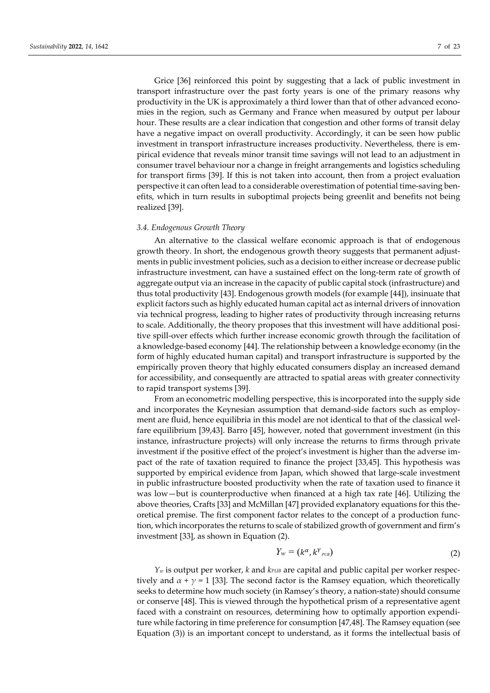Grice [36] reinforced this point by suggesting that a lack of public investment in transport infrastructure over the past forty years is one of the primary reasons why productivity in the UK is approximately a third lower than that of other advanced economies in the region, such as Germany and France when measured by output per labour hour. These results are a clear indication that congestion and other forms of transit delay have a negative impact on overall productivity. Accordingly, it can be seen how public investment in transport infrastructure increases productivity. Nevertheless, there is empirical evidence that reveals minor transit time savings will not lead to an adjustment in consumer travel behaviour nor a change in freight arrangements and logistics scheduling for transport firms [39]. If this is not taken into account, then from a project evaluation perspective it can often lead to a considerable overestimation of potential time-saving benefits, which in turn results in suboptimal projects being greenlit and benefits not being realized [39].

#### *3.4. Endogenous Growth Theory*

An alternative to the classical welfare economic approach is that of endogenous growth theory. In short, the endogenous growth theory suggests that permanent adjustments in public investment policies, such as a decision to either increase or decrease public infrastructure investment, can have a sustained effect on the long-term rate of growth of aggregate output via an increase in the capacity of public capital stock (infrastructure) and thus total productivity [43]. Endogenous growth models (for example [44]), insinuate that explicit factors such as highly educated human capital act as internal drivers of innovation via technical progress, leading to higher rates of productivity through increasing returns to scale. Additionally, the theory proposes that this investment will have additional positive spill-over effects which further increase economic growth through the facilitation of a knowledge-based economy [44]. The relationship between a knowledge economy (in the form of highly educated human capital) and transport infrastructure is supported by the empirically proven theory that highly educated consumers display an increased demand for accessibility, and consequently are attracted to spatial areas with greater connectivity to rapid transport systems [39].

From an econometric modelling perspective, this is incorporated into the supply side and incorporates the Keynesian assumption that demand-side factors such as employment are fluid, hence equilibria in this model are not identical to that of the classical welfare equilibrium [39,43]. Barro [45], however, noted that government investment (in this instance, infrastructure projects) will only increase the returns to firms through private investment if the positive effect of the project's investment is higher than the adverse impact of the rate of taxation required to finance the project [33,45]. This hypothesis was supported by empirical evidence from Japan, which showed that large-scale investment in public infrastructure boosted productivity when the rate of taxation used to finance it was low—but is counterproductive when financed at a high tax rate [46]. Utilizing the above theories, Crafts [33] and McMillan [47] provided explanatory equations for this theoretical premise. The first component factor relates to the concept of a production function, which incorporates the returns to scale of stabilized growth of government and firm's investment [33], as shown in Equation (2).

$$
Y_w = (k^\alpha, k^Y{}_{\scriptscriptstyle PUB}) \tag{2}
$$

*Yw* is output per worker, *k* and *kPUB* are capital and public capital per worker respectively and  $\alpha + \gamma = 1$  [33]. The second factor is the Ramsey equation, which theoretically seeks to determine how much society (in Ramsey's theory, a nation-state) should consume or conserve [48]. This is viewed through the hypothetical prism of a representative agent faced with a constraint on resources, determining how to optimally apportion expenditure while factoring in time preference for consumption [47,48]. The Ramsey equation (see Equation (3)) is an important concept to understand, as it forms the intellectual basis of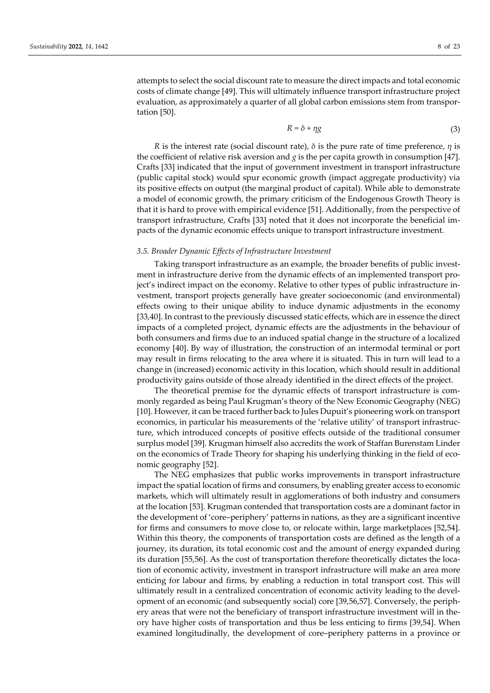attempts to select the social discount rate to measure the direct impacts and total economic costs of climate change [49]. This will ultimately influence transport infrastructure project evaluation, as approximately a quarter of all global carbon emissions stem from transportation [50].

$$
R = \delta + \eta g \tag{3}
$$

*R* is the interest rate (social discount rate), *δ* is the pure rate of time preference, *η* is the coefficient of relative risk aversion and  $g$  is the per capita growth in consumption [47]. Crafts [33] indicated that the input of government investment in transport infrastructure (public capital stock) would spur economic growth (impact aggregate productivity) via its positive effects on output (the marginal product of capital). While able to demonstrate a model of economic growth, the primary criticism of the Endogenous Growth Theory is that it is hard to prove with empirical evidence [51]. Additionally, from the perspective of transport infrastructure, Crafts [33] noted that it does not incorporate the beneficial impacts of the dynamic economic effects unique to transport infrastructure investment.

# *3.5. Broader Dynamic Effects of Infrastructure Investment*

Taking transport infrastructure as an example, the broader benefits of public investment in infrastructure derive from the dynamic effects of an implemented transport project's indirect impact on the economy. Relative to other types of public infrastructure investment, transport projects generally have greater socioeconomic (and environmental) effects owing to their unique ability to induce dynamic adjustments in the economy [33,40]. In contrast to the previously discussed static effects, which are in essence the direct impacts of a completed project, dynamic effects are the adjustments in the behaviour of both consumers and firms due to an induced spatial change in the structure of a localized economy [40]. By way of illustration, the construction of an intermodal terminal or port may result in firms relocating to the area where it is situated. This in turn will lead to a change in (increased) economic activity in this location, which should result in additional productivity gains outside of those already identified in the direct effects of the project.

The theoretical premise for the dynamic effects of transport infrastructure is commonly regarded as being Paul Krugman's theory of the New Economic Geography (NEG) [10]. However, it can be traced further back to Jules Dupuit's pioneering work on transport economics, in particular his measurements of the 'relative utility' of transport infrastructure, which introduced concepts of positive effects outside of the traditional consumer surplus model [39]. Krugman himself also accredits the work of Staffan Burenstam Linder on the economics of Trade Theory for shaping his underlying thinking in the field of economic geography [52].

The NEG emphasizes that public works improvements in transport infrastructure impact the spatial location of firms and consumers, by enabling greater access to economic markets, which will ultimately result in agglomerations of both industry and consumers at the location [53]. Krugman contended that transportation costs are a dominant factor in the development of 'core–periphery' patterns in nations, as they are a significant incentive for firms and consumers to move close to, or relocate within, large marketplaces [52,54]. Within this theory, the components of transportation costs are defined as the length of a journey, its duration, its total economic cost and the amount of energy expanded during its duration [55,56]. As the cost of transportation therefore theoretically dictates the location of economic activity, investment in transport infrastructure will make an area more enticing for labour and firms, by enabling a reduction in total transport cost. This will ultimately result in a centralized concentration of economic activity leading to the development of an economic (and subsequently social) core [39,56,57]. Conversely, the periphery areas that were not the beneficiary of transport infrastructure investment will in theory have higher costs of transportation and thus be less enticing to firms [39,54]. When examined longitudinally, the development of core–periphery patterns in a province or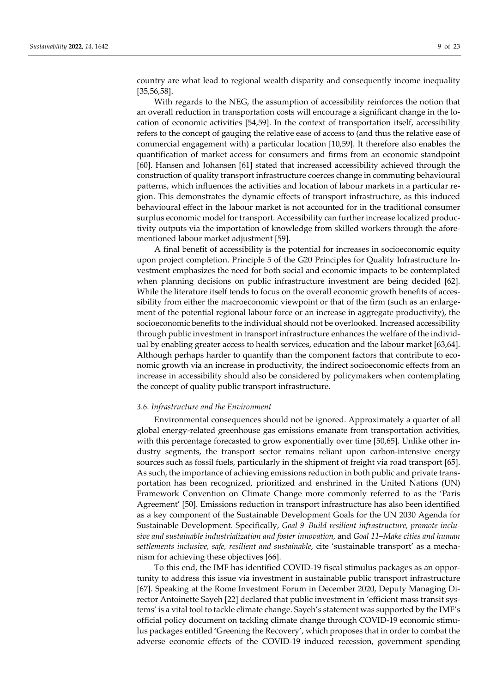country are what lead to regional wealth disparity and consequently income inequality [35,56,58].

With regards to the NEG, the assumption of accessibility reinforces the notion that an overall reduction in transportation costs will encourage a significant change in the location of economic activities [54,59]. In the context of transportation itself, accessibility refers to the concept of gauging the relative ease of access to (and thus the relative ease of commercial engagement with) a particular location [10,59]. It therefore also enables the quantification of market access for consumers and firms from an economic standpoint [60]. Hansen and Johansen [61] stated that increased accessibility achieved through the construction of quality transport infrastructure coerces change in commuting behavioural patterns, which influences the activities and location of labour markets in a particular region. This demonstrates the dynamic effects of transport infrastructure, as this induced behavioural effect in the labour market is not accounted for in the traditional consumer surplus economic model for transport. Accessibility can further increase localized productivity outputs via the importation of knowledge from skilled workers through the aforementioned labour market adjustment [59].

A final benefit of accessibility is the potential for increases in socioeconomic equity upon project completion. Principle 5 of the G20 Principles for Quality Infrastructure Investment emphasizes the need for both social and economic impacts to be contemplated when planning decisions on public infrastructure investment are being decided [62]. While the literature itself tends to focus on the overall economic growth benefits of accessibility from either the macroeconomic viewpoint or that of the firm (such as an enlargement of the potential regional labour force or an increase in aggregate productivity), the socioeconomic benefits to the individual should not be overlooked. Increased accessibility through public investment in transport infrastructure enhances the welfare of the individual by enabling greater access to health services, education and the labour market [63,64]. Although perhaps harder to quantify than the component factors that contribute to economic growth via an increase in productivity, the indirect socioeconomic effects from an increase in accessibility should also be considered by policymakers when contemplating the concept of quality public transport infrastructure.

#### *3.6. Infrastructure and the Environment*

Environmental consequences should not be ignored. Approximately a quarter of all global energy-related greenhouse gas emissions emanate from transportation activities, with this percentage forecasted to grow exponentially over time [50,65]. Unlike other industry segments, the transport sector remains reliant upon carbon-intensive energy sources such as fossil fuels, particularly in the shipment of freight via road transport [65]. As such, the importance of achieving emissions reduction in both public and private transportation has been recognized, prioritized and enshrined in the United Nations (UN) Framework Convention on Climate Change more commonly referred to as the 'Paris Agreement' [50]. Emissions reduction in transport infrastructure has also been identified as a key component of the Sustainable Development Goals for the UN 2030 Agenda for Sustainable Development. Specifically, *Goal 9–Build resilient infrastructure, promote inclusive and sustainable industrialization and foster innovation*, and *Goal 11–Make cities and human settlements inclusive, safe, resilient and sustainable*, cite 'sustainable transport' as a mechanism for achieving these objectives [66].

To this end, the IMF has identified COVID-19 fiscal stimulus packages as an opportunity to address this issue via investment in sustainable public transport infrastructure [67]. Speaking at the Rome Investment Forum in December 2020, Deputy Managing Director Antoinette Sayeh [22] declared that public investment in 'efficient mass transit systems' is a vital tool to tackle climate change. Sayeh's statement was supported by the IMF's official policy document on tackling climate change through COVID-19 economic stimulus packages entitled 'Greening the Recovery', which proposes that in order to combat the adverse economic effects of the COVID-19 induced recession, government spending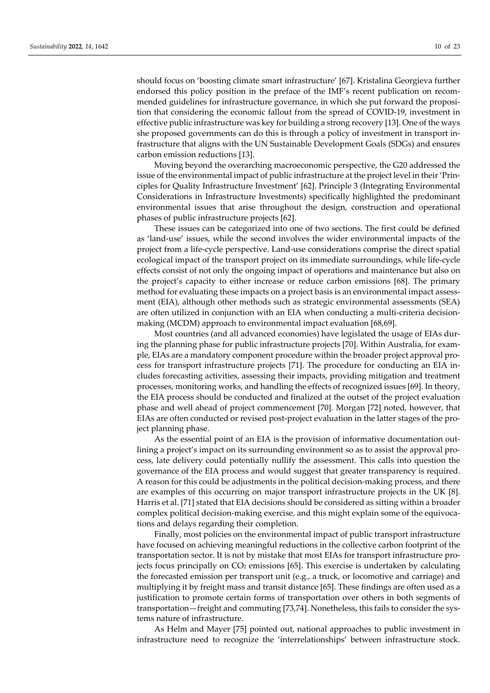should focus on 'boosting climate smart infrastructure' [67]. Kristalina Georgieva further endorsed this policy position in the preface of the IMF's recent publication on recommended guidelines for infrastructure governance, in which she put forward the proposition that considering the economic fallout from the spread of COVID-19, investment in effective public infrastructure was key for building a strong recovery [13]. One of the ways she proposed governments can do this is through a policy of investment in transport infrastructure that aligns with the UN Sustainable Development Goals (SDGs) and ensures carbon emission reductions [13].

Moving beyond the overarching macroeconomic perspective, the G20 addressed the issue of the environmental impact of public infrastructure at the project level in their 'Principles for Quality Infrastructure Investment' [62]. Principle 3 (Integrating Environmental Considerations in Infrastructure Investments) specifically highlighted the predominant environmental issues that arise throughout the design, construction and operational phases of public infrastructure projects [62].

These issues can be categorized into one of two sections. The first could be defined as 'land-use' issues, while the second involves the wider environmental impacts of the project from a life-cycle perspective. Land-use considerations comprise the direct spatial ecological impact of the transport project on its immediate surroundings, while life-cycle effects consist of not only the ongoing impact of operations and maintenance but also on the project's capacity to either increase or reduce carbon emissions [68]. The primary method for evaluating these impacts on a project basis is an environmental impact assessment (EIA), although other methods such as strategic environmental assessments (SEA) are often utilized in conjunction with an EIA when conducting a multi-criteria decisionmaking (MCDM) approach to environmental impact evaluation [68,69].

Most countries (and all advanced economies) have legislated the usage of EIAs during the planning phase for public infrastructure projects [70]. Within Australia, for example, EIAs are a mandatory component procedure within the broader project approval process for transport infrastructure projects [71]. The procedure for conducting an EIA includes forecasting activities, assessing their impacts, providing mitigation and treatment processes, monitoring works, and handling the effects of recognized issues [69]. In theory, the EIA process should be conducted and finalized at the outset of the project evaluation phase and well ahead of project commencement [70]. Morgan [72] noted, however, that EIAs are often conducted or revised post-project evaluation in the latter stages of the project planning phase.

As the essential point of an EIA is the provision of informative documentation outlining a project's impact on its surrounding environment so as to assist the approval process, late delivery could potentially nullify the assessment. This calls into question the governance of the EIA process and would suggest that greater transparency is required. A reason for this could be adjustments in the political decision-making process, and there are examples of this occurring on major transport infrastructure projects in the UK [8]. Harris et al. [71] stated that EIA decisions should be considered as sitting within a broader complex political decision-making exercise, and this might explain some of the equivocations and delays regarding their completion.

Finally, most policies on the environmental impact of public transport infrastructure have focused on achieving meaningful reductions in the collective carbon footprint of the transportation sector. It is not by mistake that most EIAs for transport infrastructure projects focus principally on  $CO<sub>2</sub>$  emissions [65]. This exercise is undertaken by calculating the forecasted emission per transport unit (e.g., a truck, or locomotive and carriage) and multiplying it by freight mass and transit distance [65]. These findings are often used as a justification to promote certain forms of transportation over others in both segments of transportation—freight and commuting [73,74]. Nonetheless, this fails to consider the systems nature of infrastructure.

As Helm and Mayer [75] pointed out, national approaches to public investment in infrastructure need to recognize the 'interrelationships' between infrastructure stock.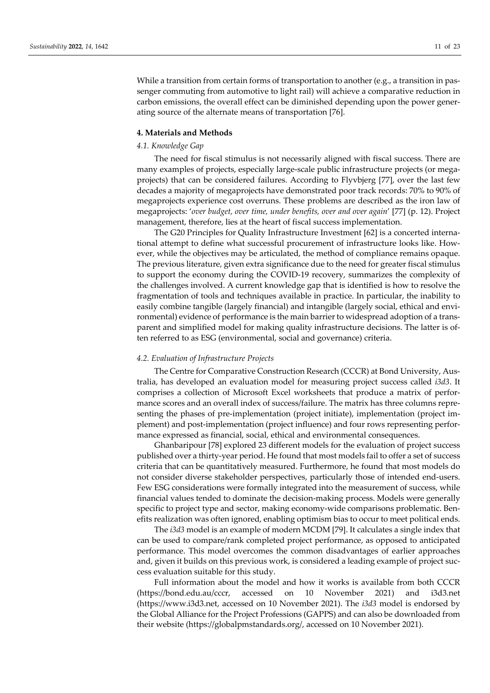While a transition from certain forms of transportation to another (e.g., a transition in passenger commuting from automotive to light rail) will achieve a comparative reduction in carbon emissions, the overall effect can be diminished depending upon the power generating source of the alternate means of transportation [76].

#### **4. Materials and Methods**

# *4.1. Knowledge Gap*

The need for fiscal stimulus is not necessarily aligned with fiscal success. There are many examples of projects, especially large-scale public infrastructure projects (or megaprojects) that can be considered failures. According to Flyvbjerg [77], over the last few decades a majority of megaprojects have demonstrated poor track records: 70% to 90% of megaprojects experience cost overruns. These problems are described as the iron law of megaprojects: '*over budget, over time, under benefits, over and over again*' [77] (p. 12). Project management, therefore, lies at the heart of fiscal success implementation.

The G20 Principles for Quality Infrastructure Investment [62] is a concerted international attempt to define what successful procurement of infrastructure looks like. However, while the objectives may be articulated, the method of compliance remains opaque. The previous literature, given extra significance due to the need for greater fiscal stimulus to support the economy during the COVID-19 recovery, summarizes the complexity of the challenges involved. A current knowledge gap that is identified is how to resolve the fragmentation of tools and techniques available in practice. In particular, the inability to easily combine tangible (largely financial) and intangible (largely social, ethical and environmental) evidence of performance is the main barrier to widespread adoption of a transparent and simplified model for making quality infrastructure decisions. The latter is often referred to as ESG (environmental, social and governance) criteria.

## *4.2. Evaluation of Infrastructure Projects*

The Centre for Comparative Construction Research (CCCR) at Bond University, Australia, has developed an evaluation model for measuring project success called *i3d3*. It comprises a collection of Microsoft Excel worksheets that produce a matrix of performance scores and an overall index of success/failure. The matrix has three columns representing the phases of pre-implementation (project initiate), implementation (project implement) and post-implementation (project influence) and four rows representing performance expressed as financial, social, ethical and environmental consequences.

Ghanbaripour [78] explored 23 different models for the evaluation of project success published over a thirty-year period. He found that most models fail to offer a set of success criteria that can be quantitatively measured. Furthermore, he found that most models do not consider diverse stakeholder perspectives, particularly those of intended end-users. Few ESG considerations were formally integrated into the measurement of success, while financial values tended to dominate the decision-making process. Models were generally specific to project type and sector, making economy-wide comparisons problematic. Benefits realization was often ignored, enabling optimism bias to occur to meet political ends.

The *i3d3* model is an example of modern MCDM [79]. It calculates a single index that can be used to compare/rank completed project performance, as opposed to anticipated performance. This model overcomes the common disadvantages of earlier approaches and, given it builds on this previous work, is considered a leading example of project success evaluation suitable for this study.

Full information about the model and how it works is available from both CCCR (https://bond.edu.au/cccr, accessed on 10 November 2021) and i3d3.net (https://www.i3d3.net, accessed on 10 November 2021). The *i3d3* model is endorsed by the Global Alliance for the Project Professions (GAPPS) and can also be downloaded from their website (https://globalpmstandards.org/, accessed on 10 November 2021).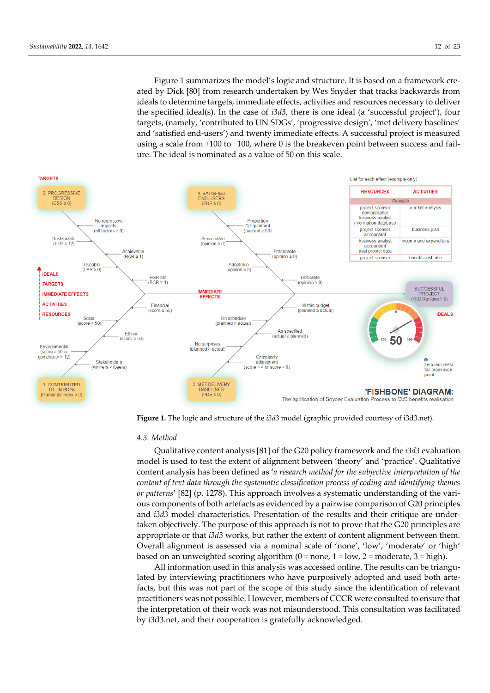Figure 1 summarizes the model's logic and structure. It is based on a framework created by Dick [80] from research undertaken by Wes Snyder that tracks backwards from ideals to determine targets, immediate effects, activities and resources necessary to deliver the specified ideal(s). In the case of *i3d3*, there is one ideal (a 'successful project'), four targets, (namely, 'contributed to UN SDGs', 'progressive design', 'met delivery baselines' and 'satisfied end-users') and twenty immediate effects. A successful project is measured using a scale from +100 to −100, where 0 is the breakeven point between success and failure. The ideal is nominated as a value of 50 on this scale.



**Figure 1.** The logic and structure of the *i3d3* model (graphic provided courtesy of i3d3.net).

#### *4.3. Method*

Qualitative content analysis [81] of the G20 policy framework and the *i3d3* evaluation model is used to test the extent of alignment between 'theory' and 'practice'. Qualitative content analysis has been defined as '*a research method for the subjective interpretation of the content of text data through the systematic classification process of coding and identifying themes or patterns*' [82] (p. 1278). This approach involves a systematic understanding of the various components of both artefacts as evidenced by a pairwise comparison of G20 principles and *i3d3* model characteristics. Presentation of the results and their critique are undertaken objectively. The purpose of this approach is not to prove that the G20 principles are appropriate or that *i3d3* works, but rather the extent of content alignment between them. Overall alignment is assessed via a nominal scale of 'none', 'low', 'moderate' or 'high' based on an unweighted scoring algorithm  $(0 = none, 1 = low, 2 = moderate, 3 = high)$ .

All information used in this analysis was accessed online. The results can be triangulated by interviewing practitioners who have purposively adopted and used both artefacts, but this was not part of the scope of this study since the identification of relevant practitioners was not possible. However, members of CCCR were consulted to ensure that the interpretation of their work was not misunderstood. This consultation was facilitated by i3d3.net, and their cooperation is gratefully acknowledged.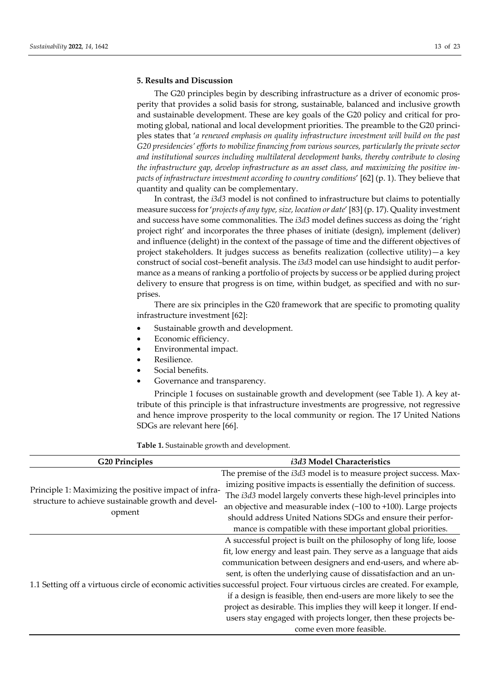#### **5. Results and Discussion**

The G20 principles begin by describing infrastructure as a driver of economic prosperity that provides a solid basis for strong, sustainable, balanced and inclusive growth and sustainable development. These are key goals of the G20 policy and critical for promoting global, national and local development priorities. The preamble to the G20 principles states that '*a renewed emphasis on quality infrastructure investment will build on the past G20 presidencies' efforts to mobilize financing from various sources, particularly the private sector and institutional sources including multilateral development banks, thereby contribute to closing the infrastructure gap, develop infrastructure as an asset class, and maximizing the positive impacts of infrastructure investment according to country conditions*' [62] (p. 1). They believe that quantity and quality can be complementary.

In contrast, the *i3d3* model is not confined to infrastructure but claims to potentially measure success for '*projects of any type, size, location or date*' [83] (p. 17). Quality investment and success have some commonalities. The *i3d3* model defines success as doing the 'right project right' and incorporates the three phases of initiate (design), implement (deliver) and influence (delight) in the context of the passage of time and the different objectives of project stakeholders. It judges success as benefits realization (collective utility)—a key construct of social cost–benefit analysis. The *i3d3* model can use hindsight to audit performance as a means of ranking a portfolio of projects by success or be applied during project delivery to ensure that progress is on time, within budget, as specified and with no surprises.

There are six principles in the G20 framework that are specific to promoting quality infrastructure investment [62]:

- Sustainable growth and development.
- Economic efficiency.
- Environmental impact.
- Resilience.
- Social benefits.
- Governance and transparency.

Principle 1 focuses on sustainable growth and development (see Table 1). A key attribute of this principle is that infrastructure investments are progressive, not regressive and hence improve prosperity to the local community or region. The 17 United Nations SDGs are relevant here [66].

**Table 1.** Sustainable growth and development.

| <b>G20 Principles</b>                                 | i3d3 Model Characteristics                                                                                                   |
|-------------------------------------------------------|------------------------------------------------------------------------------------------------------------------------------|
| Principle 1: Maximizing the positive impact of infra- | The premise of the i3d3 model is to measure project success. Max-                                                            |
|                                                       | imizing positive impacts is essentially the definition of success.                                                           |
|                                                       | The i3d3 model largely converts these high-level principles into                                                             |
| structure to achieve sustainable growth and devel-    | an objective and measurable index $(-100 \text{ to } +100)$ . Large projects                                                 |
| opment                                                | should address United Nations SDGs and ensure their perfor-                                                                  |
|                                                       | mance is compatible with these important global priorities.                                                                  |
|                                                       | A successful project is built on the philosophy of long life, loose                                                          |
|                                                       | fit, low energy and least pain. They serve as a language that aids                                                           |
|                                                       | communication between designers and end-users, and where ab-                                                                 |
|                                                       | sent, is often the underlying cause of dissatisfaction and an un-                                                            |
|                                                       | 1.1 Setting off a virtuous circle of economic activities successful project. Four virtuous circles are created. For example, |
|                                                       | if a design is feasible, then end-users are more likely to see the                                                           |
|                                                       | project as desirable. This implies they will keep it longer. If end-                                                         |
|                                                       | users stay engaged with projects longer, then these projects be-                                                             |
|                                                       | come even more feasible.                                                                                                     |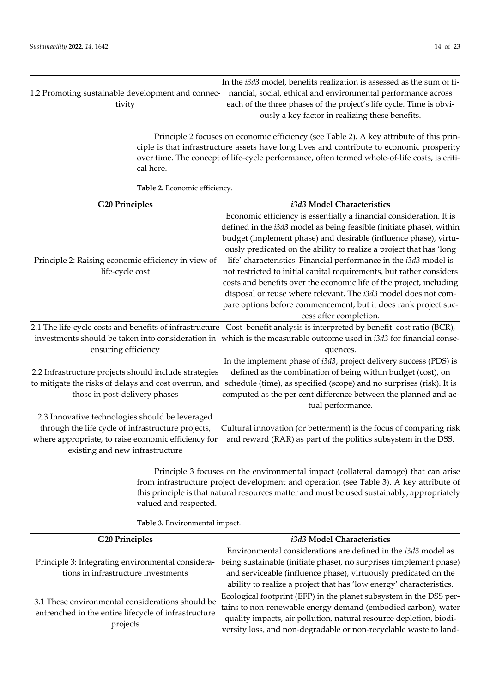|                                                   | In the <i>i3d3</i> model, benefits realization is assessed as the sum of fi- |
|---------------------------------------------------|------------------------------------------------------------------------------|
| 1.2 Promoting sustainable development and connec- | nancial, social, ethical and environmental performance across                |
| tivity                                            | each of the three phases of the project's life cycle. Time is obvi-          |
|                                                   | ously a key factor in realizing these benefits.                              |

Principle 2 focuses on economic efficiency (see Table 2). A key attribute of this principle is that infrastructure assets have long lives and contribute to economic prosperity over time. The concept of life-cycle performance, often termed whole-of-life costs, is critical here.

**Table 2.** Economic efficiency.

| <b>G20 Principles</b>                                 | i3d3 Model Characteristics                                                                                                |
|-------------------------------------------------------|---------------------------------------------------------------------------------------------------------------------------|
|                                                       | Economic efficiency is essentially a financial consideration. It is                                                       |
|                                                       | defined in the i3d3 model as being feasible (initiate phase), within                                                      |
|                                                       | budget (implement phase) and desirable (influence phase), virtu-                                                          |
|                                                       | ously predicated on the ability to realize a project that has 'long                                                       |
| Principle 2: Raising economic efficiency in view of   | life' characteristics. Financial performance in the i3d3 model is                                                         |
| life-cycle cost                                       | not restricted to initial capital requirements, but rather considers                                                      |
|                                                       | costs and benefits over the economic life of the project, including                                                       |
|                                                       | disposal or reuse where relevant. The i3d3 model does not com-                                                            |
|                                                       | pare options before commencement, but it does rank project suc-                                                           |
|                                                       | cess after completion.                                                                                                    |
|                                                       | 2.1 The life-cycle costs and benefits of infrastructure Cost-benefit analysis is interpreted by benefit-cost ratio (BCR), |
|                                                       | investments should be taken into consideration in which is the measurable outcome used in i3d3 for financial conse-       |
| ensuring efficiency                                   | quences.                                                                                                                  |
|                                                       | In the implement phase of i3d3, project delivery success (PDS) is                                                         |
| 2.2 Infrastructure projects should include strategies | defined as the combination of being within budget (cost), on                                                              |
| to mitigate the risks of delays and cost overrun, and | schedule (time), as specified (scope) and no surprises (risk). It is                                                      |
| those in post-delivery phases                         | computed as the per cent difference between the planned and ac-                                                           |
|                                                       | tual performance.                                                                                                         |
| 2.3 Innovative technologies should be leveraged       |                                                                                                                           |
| through the life cycle of infrastructure projects,    | Cultural innovation (or betterment) is the focus of comparing risk                                                        |
| where appropriate, to raise economic efficiency for   | and reward (RAR) as part of the politics subsystem in the DSS.                                                            |
| existing and new infrastructure                       |                                                                                                                           |
|                                                       |                                                                                                                           |
|                                                       | Principle 3 focuses on the environmental impact (collateral damage) that can arise                                        |
|                                                       | from infrastructure project development and operation (see Table 3). A key attribute of                                   |

this principle is that natural resources matter and must be used sustainably, appropriately valued and respected.

**Table 3.** Environmental impact.

| <b>G20 Principles</b>                                                                                                | i3d3 Model Characteristics                                          |
|----------------------------------------------------------------------------------------------------------------------|---------------------------------------------------------------------|
| Principle 3: Integrating environmental considera-                                                                    | Environmental considerations are defined in the i3d3 model as       |
|                                                                                                                      | being sustainable (initiate phase), no surprises (implement phase)  |
| tions in infrastructure investments                                                                                  | and serviceable (influence phase), virtuously predicated on the     |
|                                                                                                                      | ability to realize a project that has 'low energy' characteristics. |
| 3.1 These environmental considerations should be<br>entrenched in the entire lifecycle of infrastructure<br>projects | Ecological footprint (EFP) in the planet subsystem in the DSS per-  |
|                                                                                                                      | tains to non-renewable energy demand (embodied carbon), water       |
|                                                                                                                      | quality impacts, air pollution, natural resource depletion, biodi-  |
|                                                                                                                      | versity loss, and non-degradable or non-recyclable waste to land-   |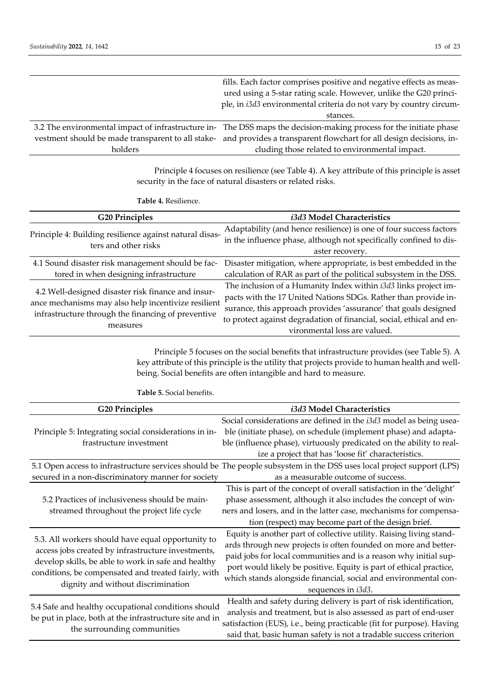|         | fills. Each factor comprises positive and negative effects as meas-                                                  |
|---------|----------------------------------------------------------------------------------------------------------------------|
|         | ured using a 5-star rating scale. However, unlike the G20 princi-                                                    |
|         | ple, in i3d3 environmental criteria do not vary by country circum-                                                   |
|         | stances.                                                                                                             |
|         | 3.2 The environmental impact of infrastructure in- The DSS maps the decision-making process for the initiate phase   |
|         | vestment should be made transparent to all stake- and provides a transparent flowchart for all design decisions, in- |
| holders | cluding those related to environmental impact.                                                                       |

Principle 4 focuses on resilience (see Table 4). A key attribute of this principle is asset security in the face of natural disasters or related risks.

**Table 4.** Resilience.

| <b>G20 Principles</b>                                                                                                                                                       | i3d3 Model Characteristics                                                                                                                                                                                                                                                                                   |
|-----------------------------------------------------------------------------------------------------------------------------------------------------------------------------|--------------------------------------------------------------------------------------------------------------------------------------------------------------------------------------------------------------------------------------------------------------------------------------------------------------|
| Principle 4: Building resilience against natural disas-<br>ters and other risks                                                                                             | Adaptability (and hence resilience) is one of four success factors<br>in the influence phase, although not specifically confined to dis-<br>aster recovery.                                                                                                                                                  |
| 4.1 Sound disaster risk management should be fac-<br>tored in when designing infrastructure                                                                                 | Disaster mitigation, where appropriate, is best embedded in the<br>calculation of RAR as part of the political subsystem in the DSS.                                                                                                                                                                         |
| 4.2 Well-designed disaster risk finance and insur-<br>ance mechanisms may also help incentivize resilient<br>infrastructure through the financing of preventive<br>measures | The inclusion of a Humanity Index within i3d3 links project im-<br>pacts with the 17 United Nations SDGs. Rather than provide in-<br>surance, this approach provides 'assurance' that goals designed<br>to protect against degradation of financial, social, ethical and en-<br>vironmental loss are valued. |

Principle 5 focuses on the social benefits that infrastructure provides (see Table 5). A key attribute of this principle is the utility that projects provide to human health and wellbeing. Social benefits are often intangible and hard to measure.

| <b>G20 Principles</b>                                                                                                                                                                                                                                       | i3d3 Model Characteristics                                                                                            |
|-------------------------------------------------------------------------------------------------------------------------------------------------------------------------------------------------------------------------------------------------------------|-----------------------------------------------------------------------------------------------------------------------|
|                                                                                                                                                                                                                                                             | Social considerations are defined in the i3d3 model as being usea-                                                    |
| Principle 5: Integrating social considerations in in-<br>frastructure investment                                                                                                                                                                            | ble (initiate phase), on schedule (implement phase) and adapta-                                                       |
|                                                                                                                                                                                                                                                             | ble (influence phase), virtuously predicated on the ability to real-                                                  |
|                                                                                                                                                                                                                                                             | ize a project that has 'loose fit' characteristics.                                                                   |
|                                                                                                                                                                                                                                                             | 5.1 Open access to infrastructure services should be The people subsystem in the DSS uses local project support (LPS) |
| secured in a non-discriminatory manner for society                                                                                                                                                                                                          | as a measurable outcome of success.                                                                                   |
|                                                                                                                                                                                                                                                             | This is part of the concept of overall satisfaction in the 'delight'                                                  |
| 5.2 Practices of inclusiveness should be main-                                                                                                                                                                                                              | phase assessment, although it also includes the concept of win-                                                       |
| streamed throughout the project life cycle                                                                                                                                                                                                                  | ners and losers, and in the latter case, mechanisms for compensa-                                                     |
|                                                                                                                                                                                                                                                             | tion (respect) may become part of the design brief.                                                                   |
| 5.3. All workers should have equal opportunity to<br>access jobs created by infrastructure investments,<br>develop skills, be able to work in safe and healthy<br>conditions, be compensated and treated fairly, with<br>dignity and without discrimination | Equity is another part of collective utility. Raising living stand-                                                   |
|                                                                                                                                                                                                                                                             | ards through new projects is often founded on more and better-                                                        |
|                                                                                                                                                                                                                                                             | paid jobs for local communities and is a reason why initial sup-                                                      |
|                                                                                                                                                                                                                                                             | port would likely be positive. Equity is part of ethical practice,                                                    |
|                                                                                                                                                                                                                                                             | which stands alongside financial, social and environmental con-                                                       |
|                                                                                                                                                                                                                                                             | sequences in i3d3.                                                                                                    |
| 5.4 Safe and healthy occupational conditions should<br>be put in place, both at the infrastructure site and in<br>the surrounding communities                                                                                                               | Health and safety during delivery is part of risk identification,                                                     |
|                                                                                                                                                                                                                                                             | analysis and treatment, but is also assessed as part of end-user                                                      |
|                                                                                                                                                                                                                                                             | satisfaction (EUS), i.e., being practicable (fit for purpose). Having                                                 |
|                                                                                                                                                                                                                                                             | said that, basic human safety is not a tradable success criterion                                                     |

**Table 5.** Social benefits.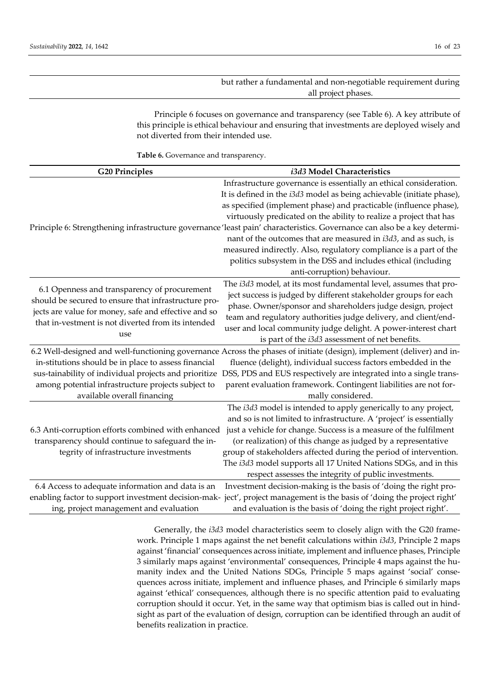but rather a fundamental and non-negotiable requirement during all project phases.

Principle 6 focuses on governance and transparency (see Table 6). A key attribute of this principle is ethical behaviour and ensuring that investments are deployed wisely and not diverted from their intended use.

**Table 6.** Governance and transparency.

| <b>G20 Principles</b>                                                                                                                                                                                                     | i3d3 Model Characteristics                                                                                                                                                                                                                                                                                                                                                                                                                                                                                                                                                                                                                                 |
|---------------------------------------------------------------------------------------------------------------------------------------------------------------------------------------------------------------------------|------------------------------------------------------------------------------------------------------------------------------------------------------------------------------------------------------------------------------------------------------------------------------------------------------------------------------------------------------------------------------------------------------------------------------------------------------------------------------------------------------------------------------------------------------------------------------------------------------------------------------------------------------------|
|                                                                                                                                                                                                                           | Infrastructure governance is essentially an ethical consideration.<br>It is defined in the i3d3 model as being achievable (initiate phase),<br>as specified (implement phase) and practicable (influence phase),<br>virtuously predicated on the ability to realize a project that has<br>Principle 6: Strengthening infrastructure governance 'least pain' characteristics. Governance can also be a key determi-<br>nant of the outcomes that are measured in i3d3, and as such, is<br>measured indirectly. Also, regulatory compliance is a part of the<br>politics subsystem in the DSS and includes ethical (including<br>anti-corruption) behaviour. |
| 6.1 Openness and transparency of procurement<br>should be secured to ensure that infrastructure pro-<br>jects are value for money, safe and effective and so<br>that in-vestment is not diverted from its intended<br>use | The i3d3 model, at its most fundamental level, assumes that pro-<br>ject success is judged by different stakeholder groups for each<br>phase. Owner/sponsor and shareholders judge design, project<br>team and regulatory authorities judge delivery, and client/end-<br>user and local community judge delight. A power-interest chart<br>is part of the i3d3 assessment of net benefits.                                                                                                                                                                                                                                                                 |
| in-stitutions should be in place to assess financial<br>sus-tainability of individual projects and prioritize<br>among potential infrastructure projects subject to<br>available overall financing                        | 6.2 Well-designed and well-functioning governance Across the phases of initiate (design), implement (deliver) and in-<br>fluence (delight), individual success factors embedded in the<br>DSS, PDS and EUS respectively are integrated into a single trans-<br>parent evaluation framework. Contingent liabilities are not for-<br>mally considered.                                                                                                                                                                                                                                                                                                       |
| 6.3 Anti-corruption efforts combined with enhanced<br>transparency should continue to safeguard the in-<br>tegrity of infrastructure investments                                                                          | The i3d3 model is intended to apply generically to any project,<br>and so is not limited to infrastructure. A 'project' is essentially<br>just a vehicle for change. Success is a measure of the fulfilment<br>(or realization) of this change as judged by a representative<br>group of stakeholders affected during the period of intervention.<br>The i3d3 model supports all 17 United Nations SDGs, and in this<br>respect assesses the integrity of public investments.                                                                                                                                                                              |
| 6.4 Access to adequate information and data is an<br>ing, project management and evaluation                                                                                                                               | Investment decision-making is the basis of 'doing the right pro-<br>enabling factor to support investment decision-mak-ject', project management is the basis of 'doing the project right'<br>and evaluation is the basis of 'doing the right project right'.                                                                                                                                                                                                                                                                                                                                                                                              |

Generally, the *i3d3* model characteristics seem to closely align with the G20 framework. Principle 1 maps against the net benefit calculations within *i3d3*, Principle 2 maps against 'financial' consequences across initiate, implement and influence phases, Principle 3 similarly maps against 'environmental' consequences, Principle 4 maps against the humanity index and the United Nations SDGs, Principle 5 maps against 'social' consequences across initiate, implement and influence phases, and Principle 6 similarly maps against 'ethical' consequences, although there is no specific attention paid to evaluating corruption should it occur. Yet, in the same way that optimism bias is called out in hindsight as part of the evaluation of design, corruption can be identified through an audit of benefits realization in practice.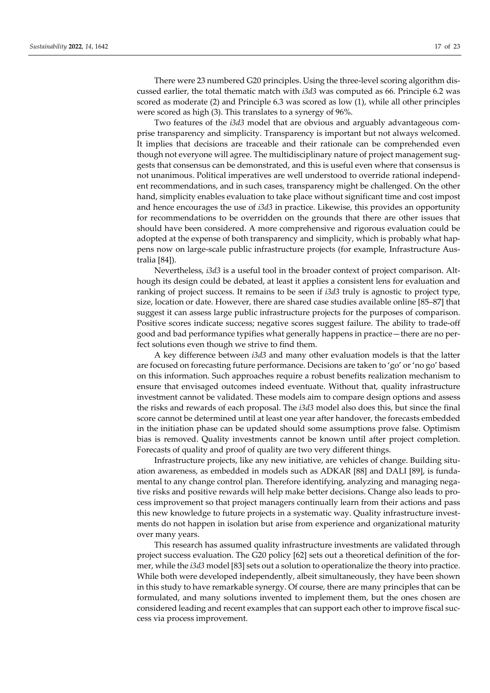There were 23 numbered G20 principles. Using the three-level scoring algorithm discussed earlier, the total thematic match with *i3d3* was computed as 66. Principle 6.2 was scored as moderate (2) and Principle 6.3 was scored as low (1), while all other principles were scored as high (3). This translates to a synergy of 96%.

Two features of the *i3d3* model that are obvious and arguably advantageous comprise transparency and simplicity. Transparency is important but not always welcomed. It implies that decisions are traceable and their rationale can be comprehended even though not everyone will agree. The multidisciplinary nature of project management suggests that consensus can be demonstrated, and this is useful even where that consensus is not unanimous. Political imperatives are well understood to override rational independent recommendations, and in such cases, transparency might be challenged. On the other hand, simplicity enables evaluation to take place without significant time and cost impost and hence encourages the use of *i3d3* in practice. Likewise, this provides an opportunity for recommendations to be overridden on the grounds that there are other issues that should have been considered. A more comprehensive and rigorous evaluation could be adopted at the expense of both transparency and simplicity, which is probably what happens now on large-scale public infrastructure projects (for example, Infrastructure Australia [84]).

Nevertheless, *i3d3* is a useful tool in the broader context of project comparison. Although its design could be debated, at least it applies a consistent lens for evaluation and ranking of project success. It remains to be seen if *i3d3* truly is agnostic to project type, size, location or date. However, there are shared case studies available online [85–87] that suggest it can assess large public infrastructure projects for the purposes of comparison. Positive scores indicate success; negative scores suggest failure. The ability to trade-off good and bad performance typifies what generally happens in practice—there are no perfect solutions even though we strive to find them.

A key difference between *i3d3* and many other evaluation models is that the latter are focused on forecasting future performance. Decisions are taken to 'go' or 'no go' based on this information. Such approaches require a robust benefits realization mechanism to ensure that envisaged outcomes indeed eventuate. Without that, quality infrastructure investment cannot be validated. These models aim to compare design options and assess the risks and rewards of each proposal. The *i3d3* model also does this, but since the final score cannot be determined until at least one year after handover, the forecasts embedded in the initiation phase can be updated should some assumptions prove false. Optimism bias is removed. Quality investments cannot be known until after project completion. Forecasts of quality and proof of quality are two very different things.

Infrastructure projects, like any new initiative, are vehicles of change. Building situation awareness, as embedded in models such as ADKAR [88] and DALI [89], is fundamental to any change control plan. Therefore identifying, analyzing and managing negative risks and positive rewards will help make better decisions. Change also leads to process improvement so that project managers continually learn from their actions and pass this new knowledge to future projects in a systematic way. Quality infrastructure investments do not happen in isolation but arise from experience and organizational maturity over many years.

This research has assumed quality infrastructure investments are validated through project success evaluation. The G20 policy [62] sets out a theoretical definition of the former, while the *i3d3* model [83] sets out a solution to operationalize the theory into practice. While both were developed independently, albeit simultaneously, they have been shown in this study to have remarkable synergy. Of course, there are many principles that can be formulated, and many solutions invented to implement them, but the ones chosen are considered leading and recent examples that can support each other to improve fiscal success via process improvement.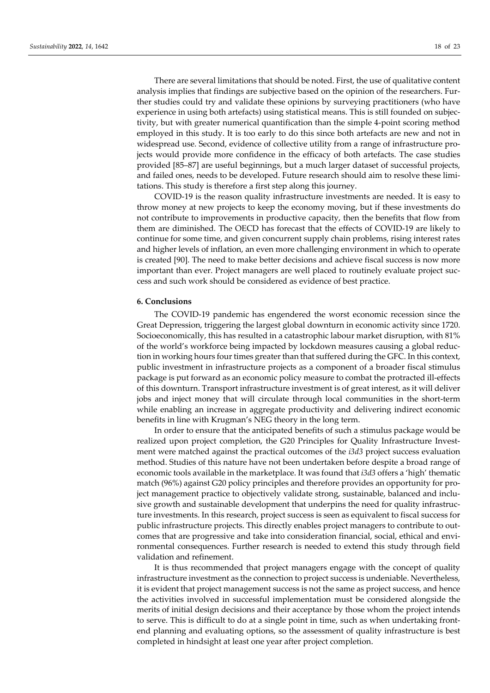There are several limitations that should be noted. First, the use of qualitative content analysis implies that findings are subjective based on the opinion of the researchers. Further studies could try and validate these opinions by surveying practitioners (who have experience in using both artefacts) using statistical means. This is still founded on subjectivity, but with greater numerical quantification than the simple 4-point scoring method employed in this study. It is too early to do this since both artefacts are new and not in widespread use. Second, evidence of collective utility from a range of infrastructure projects would provide more confidence in the efficacy of both artefacts. The case studies provided [85–87] are useful beginnings, but a much larger dataset of successful projects, and failed ones, needs to be developed. Future research should aim to resolve these limitations. This study is therefore a first step along this journey.

COVID-19 is the reason quality infrastructure investments are needed. It is easy to throw money at new projects to keep the economy moving, but if these investments do not contribute to improvements in productive capacity, then the benefits that flow from them are diminished. The OECD has forecast that the effects of COVID-19 are likely to continue for some time, and given concurrent supply chain problems, rising interest rates and higher levels of inflation, an even more challenging environment in which to operate is created [90]. The need to make better decisions and achieve fiscal success is now more important than ever. Project managers are well placed to routinely evaluate project success and such work should be considered as evidence of best practice.

#### **6. Conclusions**

The COVID-19 pandemic has engendered the worst economic recession since the Great Depression, triggering the largest global downturn in economic activity since 1720. Socioeconomically, this has resulted in a catastrophic labour market disruption, with 81% of the world's workforce being impacted by lockdown measures causing a global reduction in working hours four times greater than that suffered during the GFC. In this context, public investment in infrastructure projects as a component of a broader fiscal stimulus package is put forward as an economic policy measure to combat the protracted ill-effects of this downturn. Transport infrastructure investment is of great interest, as it will deliver jobs and inject money that will circulate through local communities in the short-term while enabling an increase in aggregate productivity and delivering indirect economic benefits in line with Krugman's NEG theory in the long term.

In order to ensure that the anticipated benefits of such a stimulus package would be realized upon project completion, the G20 Principles for Quality Infrastructure Investment were matched against the practical outcomes of the *i3d3* project success evaluation method. Studies of this nature have not been undertaken before despite a broad range of economic tools available in the marketplace. It was found that *i3d3* offers a 'high' thematic match (96%) against G20 policy principles and therefore provides an opportunity for project management practice to objectively validate strong, sustainable, balanced and inclusive growth and sustainable development that underpins the need for quality infrastructure investments. In this research, project success is seen as equivalent to fiscal success for public infrastructure projects. This directly enables project managers to contribute to outcomes that are progressive and take into consideration financial, social, ethical and environmental consequences. Further research is needed to extend this study through field validation and refinement.

It is thus recommended that project managers engage with the concept of quality infrastructure investment as the connection to project success is undeniable. Nevertheless, it is evident that project management success is not the same as project success, and hence the activities involved in successful implementation must be considered alongside the merits of initial design decisions and their acceptance by those whom the project intends to serve. This is difficult to do at a single point in time, such as when undertaking frontend planning and evaluating options, so the assessment of quality infrastructure is best completed in hindsight at least one year after project completion.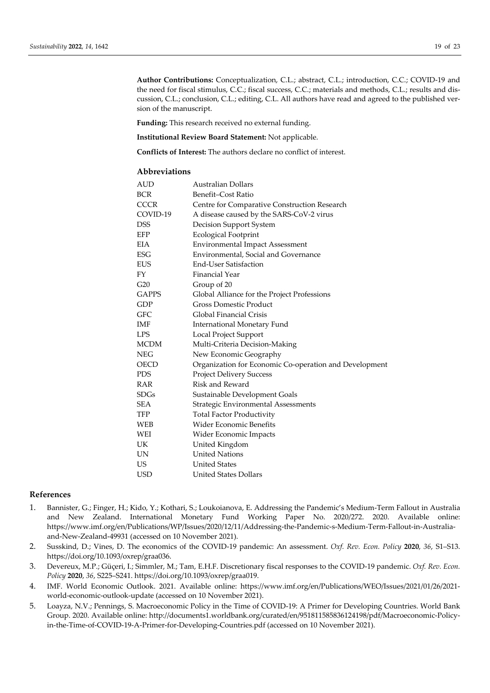**Author Contributions:** Conceptualization, C.L.; abstract, C.L.; introduction, C.C.; COVID-19 and the need for fiscal stimulus, C.C.; fiscal success, C.C.; materials and methods, C.L.; results and discussion, C.L.; conclusion, C.L.; editing, C.L. All authors have read and agreed to the published version of the manuscript.

**Funding:** This research received no external funding.

**Institutional Review Board Statement:** Not applicable.

**Conflicts of Interest:** The authors declare no conflict of interest.

# **Abbreviations**

| AUD          | Australian Dollars                                     |
|--------------|--------------------------------------------------------|
| <b>BCR</b>   | Benefit-Cost Ratio                                     |
| <b>CCCR</b>  | Centre for Comparative Construction Research           |
| COVID-19     | A disease caused by the SARS-CoV-2 virus               |
| <b>DSS</b>   | Decision Support System                                |
| EFP          | <b>Ecological Footprint</b>                            |
| EIA          | <b>Environmental Impact Assessment</b>                 |
| <b>ESG</b>   | Environmental, Social and Governance                   |
| <b>EUS</b>   | <b>End-User Satisfaction</b>                           |
| FY           | <b>Financial Year</b>                                  |
| G20          | Group of 20                                            |
| <b>GAPPS</b> | Global Alliance for the Project Professions            |
| GDP          | <b>Gross Domestic Product</b>                          |
| GFC          | Global Financial Crisis                                |
| IMF          | International Monetary Fund                            |
| <b>LPS</b>   | Local Project Support                                  |
| <b>MCDM</b>  | Multi-Criteria Decision-Making                         |
| NEG          | New Economic Geography                                 |
| <b>OECD</b>  | Organization for Economic Co-operation and Development |
| <b>PDS</b>   | <b>Project Delivery Success</b>                        |
| RAR          | Risk and Reward                                        |
| <b>SDGs</b>  | Sustainable Development Goals                          |
| <b>SEA</b>   | Strategic Environmental Assessments                    |
| TFP          | <b>Total Factor Productivity</b>                       |
| WEB          | <b>Wider Economic Benefits</b>                         |
| WEI          | Wider Economic Impacts                                 |
| UK           | United Kingdom                                         |
| UN           | <b>United Nations</b>                                  |
| US           | <b>United States</b>                                   |
| <b>USD</b>   | <b>United States Dollars</b>                           |
|              |                                                        |

#### **References**

- 1. Bannister, G.; Finger, H.; Kido, Y.; Kothari, S.; Loukoianova, E. Addressing the Pandemic's Medium-Term Fallout in Australia and New Zealand. International Monetary Fund Working Paper No. 2020/272. 2020. Available online: https://www.imf.org/en/Publications/WP/Issues/2020/12/11/Addressing-the-Pandemic-s-Medium-Term-Fallout-in-Australiaand-New-Zealand-49931 (accessed on 10 November 2021).
- 2. Susskind, D.; Vines, D. The economics of the COVID-19 pandemic: An assessment. *Oxf. Rev. Econ. Policy* **2020**, *36*, S1–S13. https://doi.org/10.1093/oxrep/graa036.
- 3. Devereux, M.P.; Güçeri, I.; Simmler, M.; Tam, E.H.F. Discretionary fiscal responses to the COVID-19 pandemic. *Oxf. Rev. Econ. Policy* **2020**, *36*, S225–S241. https://doi.org/10.1093/oxrep/graa019.
- 4. IMF. World Economic Outlook. 2021. Available online: https://www.imf.org/en/Publications/WEO/Issues/2021/01/26/2021 world-economic-outlook-update (accessed on 10 November 2021).
- 5. Loayza, N.V.; Pennings, S. Macroeconomic Policy in the Time of COVID-19: A Primer for Developing Countries. World Bank Group. 2020. Available online: http://documents1.worldbank.org/curated/en/951811585836124198/pdf/Macroeconomic-Policyin-the-Time-of-COVID-19-A-Primer-for-Developing-Countries.pdf (accessed on 10 November 2021).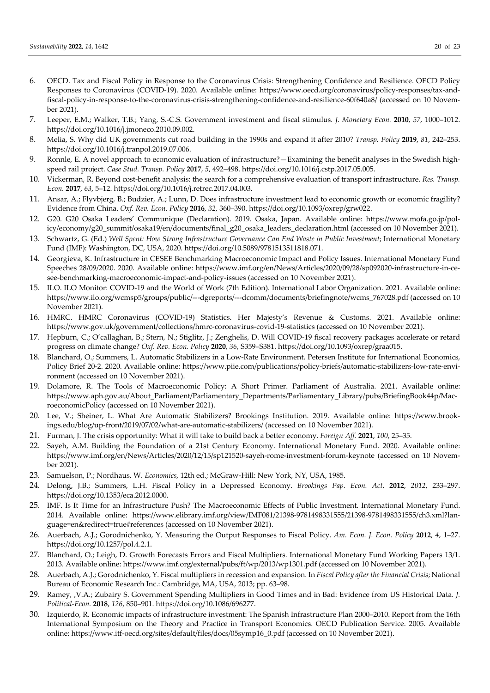- 6. OECD. Tax and Fiscal Policy in Response to the Coronavirus Crisis: Strengthening Confidence and Resilience. OECD Policy Responses to Coronavirus (COVID-19). 2020. Available online: https://www.oecd.org/coronavirus/policy-responses/tax-andfiscal-policy-in-response-to-the-coronavirus-crisis-strengthening-confidence-and-resilience-60f640a8/ (accessed on 10 November 2021).
- 7. Leeper, E.M.; Walker, T.B.; Yang, S.-C.S. Government investment and fiscal stimulus. *J. Monetary Econ.* **2010**, *57*, 1000–1012. https://doi.org/10.1016/j.jmoneco.2010.09.002.
- 8. Melia, S. Why did UK governments cut road building in the 1990s and expand it after 2010? *Transp. Policy* **2019**, *81*, 242–253. https://doi.org/10.1016/j.tranpol.2019.07.006.
- 9. Ronnle, E. A novel approach to economic evaluation of infrastructure?—Examining the benefit analyses in the Swedish highspeed rail project. *Case Stud. Transp. Policy* **2017**, *5*, 492–498. https://doi.org/10.1016/j.cstp.2017.05.005.
- 10. Vickerman, R. Beyond cost-benefit analysis: the search for a comprehensive evaluation of transport infrastructure. *Res. Transp. Econ.* **2017**, *63*, 5–12. https://doi.org/10.1016/j.retrec.2017.04.003.
- 11. Ansar, A.; Flyvbjerg, B.; Budzier, A.; Lunn, D. Does infrastructure investment lead to economic growth or economic fragility? Evidence from China. *Oxf. Rev. Econ. Policy* **2016**, *32*, 360–390. https://doi.org/10.1093/oxrep/grw022.
- 12. G20. G20 Osaka Leaders' Communique (Declaration). 2019. Osaka, Japan. Available online: https://www.mofa.go.jp/policy/economy/g20\_summit/osaka19/en/documents/final\_g20\_osaka\_leaders\_declaration.html (accessed on 10 November 2021).
- 13. Schwartz, G. (Ed.) *Well Spent: How Strong Infrastructure Governance Can End Waste in Public Investment*; International Monetary Fund (IMF): Washington, DC, USA, 2020. https://doi.org/10.5089/9781513511818.071.
- 14. Georgieva, K. Infrastructure in CESEE Benchmarking Macroeconomic Impact and Policy Issues. International Monetary Fund Speeches 28/09/2020. 2020. Available online: https://www.imf.org/en/News/Articles/2020/09/28/sp092020-infrastructure-in-cesee-benchmarking-macroeconomic-impact-and-policy-issues (accessed on 10 November 2021).
- 15. ILO. ILO Monitor: COVID-19 and the World of Work (7th Edition). International Labor Organization. 2021. Available online: https://www.ilo.org/wcmsp5/groups/public/---dgreports/---dcomm/documents/briefingnote/wcms\_767028.pdf (accessed on 10 November 2021).
- 16. HMRC. HMRC Coronavirus (COVID-19) Statistics. Her Majesty's Revenue & Customs. 2021. Available online: https://www.gov.uk/government/collections/hmrc-coronavirus-covid-19-statistics (accessed on 10 November 2021).
- 17. Hepburn, C.; O'callaghan, B.; Stern, N.; Stiglitz, J.; Zenghelis, D. Will COVID-19 fiscal recovery packages accelerate or retard progress on climate change? *Oxf. Rev. Econ. Policy* **2020**, *36*, S359–S381. https://doi.org/10.1093/oxrep/graa015.
- 18. Blanchard, O.; Summers, L. Automatic Stabilizers in a Low-Rate Environment. Petersen Institute for International Economics, Policy Brief 20-2. 2020. Available online: https://www.piie.com/publications/policy-briefs/automatic-stabilizers-low-rate-environment (accessed on 10 November 2021).
- 19. Dolamore, R. The Tools of Macroeconomic Policy: A Short Primer. Parliament of Australia. 2021. Available online: https://www.aph.gov.au/About\_Parliament/Parliamentary\_Departments/Parliamentary\_Library/pubs/BriefingBook44p/MacroeconomicPolicy (accessed on 10 November 2021).
- 20. Lee, V.; Sheiner, L. What Are Automatic Stabilizers? Brookings Institution. 2019. Available online: https://www.brookings.edu/blog/up-front/2019/07/02/what-are-automatic-stabilizers/ (accessed on 10 November 2021).
- 21. Furman, J. The crisis opportunity: What it will take to build back a better economy. *Foreign Aff.* **2021**, *100*, 25–35.
- 22. Sayeh, A.M. Building the Foundation of a 21st Century Economy. International Monetary Fund. 2020. Available online: https://www.imf.org/en/News/Articles/2020/12/15/sp121520-sayeh-rome-investment-forum-keynote (accessed on 10 November 2021).
- 23. Samuelson, P.; Nordhaus, W. *Economics*, 12th ed.; McGraw-Hill: New York, NY, USA, 1985.
- 24. Delong, J.B.; Summers, L.H. Fiscal Policy in a Depressed Economy. *Brookings Pap. Econ. Act.* **2012**, *2012*, 233–297. https://doi.org/10.1353/eca.2012.0000.
- 25. IMF. Is It Time for an Infrastructure Push? The Macroeconomic Effects of Public Investment. International Monetary Fund. 2014. Available online: https://www.elibrary.imf.org/view/IMF081/21398-9781498331555/21398-9781498331555/ch3.xml?language=en&redirect=true#references (accessed on 10 November 2021).
- 26. Auerbach, A.J.; Gorodnichenko, Y. Measuring the Output Responses to Fiscal Policy. *Am. Econ. J. Econ. Policy* **2012**, *4*, 1–27. https://doi.org/10.1257/pol.4.2.1.
- 27. Blanchard, O.; Leigh, D. Growth Forecasts Errors and Fiscal Multipliers. International Monetary Fund Working Papers 13/1. 2013. Available online: https://www.imf.org/external/pubs/ft/wp/2013/wp1301.pdf (accessed on 10 November 2021).
- 28. Auerbach, A.J.; Gorodnichenko, Y. Fiscal multipliers in recession and expansion. In *Fiscal Policy after the Financial Crisis*; National Bureau of Economic Research Inc.: Cambridge, MA, USA, 2013; pp. 63–98.
- 29. Ramey, ,V.A.; Zubairy S. Government Spending Multipliers in Good Times and in Bad: Evidence from US Historical Data. *J. Political-Econ.* **2018**, *126*, 850–901. https://doi.org/10.1086/696277.
- 30. Izquierdo, R. Economic impacts of infrastructure investment: The Spanish Infrastructure Plan 2000–2010. Report from the 16th International Symposium on the Theory and Practice in Transport Economics. OECD Publication Service. 2005. Available online: https://www.itf-oecd.org/sites/default/files/docs/05symp16\_0.pdf (accessed on 10 November 2021).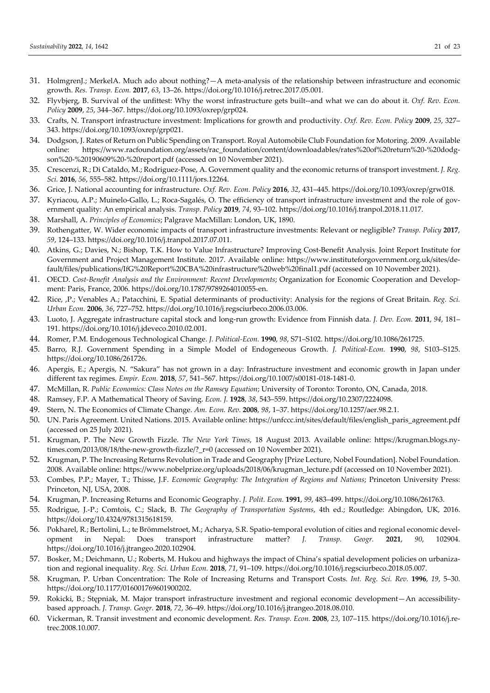- 31. HolmgrenJ.; MerkelA. Much ado about nothing?—A meta-analysis of the relationship between infrastructure and economic growth. *Res. Transp. Econ.* **2017**, *63*, 13–26. https://doi.org/10.1016/j.retrec.2017.05.001.
- 32. Flyvbjerg, B. Survival of the unfittest: Why the worst infrastructure gets built--and what we can do about it. *Oxf. Rev. Econ. Policy* **2009**, *25*, 344–367. https://doi.org/10.1093/oxrep/grp024.
- 33. Crafts, N. Transport infrastructure investment: Implications for growth and productivity. *Oxf. Rev. Econ. Policy* **2009**, *25*, 327– 343. https://doi.org/10.1093/oxrep/grp021.
- 34. Dodgson, J. Rates of Return on Public Spending on Transport. Royal Automobile Club Foundation for Motoring. 2009. Available online: https://www.racfoundation.org/assets/rac\_foundation/content/downloadables/rates%20of%20return%20-%20dodgson%20-%20190609%20-%20report.pdf (accessed on 10 November 2021).
- 35. Crescenzi, R.; Di Cataldo, M.; Rodriguez-Pose, A. Government quality and the economic returns of transport investment. *J. Reg. Sci.* **2016**, *56*, 555–582. https://doi.org/10.1111/jors.12264.
- 36. Grice, J. National accounting for infrastructure. *Oxf. Rev. Econ. Policy* **2016**, *32*, 431–445. https://doi.org/10.1093/oxrep/grw018.
- 37. Kyriacou, A.P.; Muinelo-Gallo, L.; Roca-Sagalés, O. The efficiency of transport infrastructure investment and the role of government quality: An empirical analysis. *Transp. Policy* **2019**, *74*, 93–102. https://doi.org/10.1016/j.tranpol.2018.11.017.
- 38. Marshall, A. *Principles of Economics*; Palgrave MacMillan: London, UK, 1890.
- 39. Rothengatter, W. Wider economic impacts of transport infrastructure investments: Relevant or negligible? *Transp. Policy* **2017**, *59*, 124–133. https://doi.org/10.1016/j.tranpol.2017.07.011.
- 40. Atkins, G.; Davies, N.; Bishop, T.K. How to Value Infrastructure? Improving Cost-Benefit Analysis. Joint Report Institute for Government and Project Management Institute. 2017. Available online: https://www.instituteforgovernment.org.uk/sites/default/files/publications/IfG%20Report%20CBA%20infrastructure%20web%20final1.pdf (accessed on 10 November 2021).
- 41. OECD. *Cost-Benefit Analysis and the Environment: Recent Developments*; Organization for Economic Cooperation and Development: Paris, France, 2006. https://doi.org/10.1787/9789264010055-en.
- 42. Rice, ,P.; Venables A.; Patacchini, E. Spatial determinants of productivity: Analysis for the regions of Great Britain. *Reg. Sci. Urban Econ.* **2006**, *36*, 727–752. https://doi.org/10.1016/j.regsciurbeco.2006.03.006.
- 43. Luoto, J. Aggregate infrastructure capital stock and long-run growth: Evidence from Finnish data. *J. Dev. Econ.* **2011**, *94*, 181– 191. https://doi.org/10.1016/j.jdeveco.2010.02.001.
- 44. Romer, P.M. Endogenous Technological Change. *J. Political-Econ.* **1990**, *98*, S71–S102. https://doi.org/10.1086/261725.
- 45. Barro, R.J. Government Spending in a Simple Model of Endogeneous Growth. *J. Political-Econ.* **1990**, *98*, S103–S125. https://doi.org/10.1086/261726.
- 46. Apergis, E.; Apergis, N. "Sakura" has not grown in a day: Infrastructure investment and economic growth in Japan under different tax regimes. *Empir. Econ.* **2018**, *57*, 541–567. https://doi.org/10.1007/s00181-018-1481-0.
- 47. McMillan, R. *Public Economics: Class Notes on the Ramsey Equation*; University of Toronto: Toronto, ON, Canada, 2018.
- 48. Ramsey, F.P. A Mathematical Theory of Saving. *Econ. J.* **1928**, *38*, 543–559. https://doi.org/10.2307/2224098.
- 49. Stern, N. The Economics of Climate Change. *Am. Econ. Rev.* **2008**, *98*, 1–37. https://doi.org/10.1257/aer.98.2.1.
- 50. UN. Paris Agreement. United Nations. 2015. Available online: https://unfccc.int/sites/default/files/english\_paris\_agreement.pdf (accessed on 25 July 2021).
- 51. Krugman, P. The New Growth Fizzle. *The New York Times*, 18 August 2013. Available online: https://krugman.blogs.nytimes.com/2013/08/18/the-new-growth-fizzle/?\_r=0 (accessed on 10 November 2021).
- 52. Krugman, P. The Increasing Returns Revolution in Trade and Geography [Prize Lecture, Nobel Foundation]. Nobel Foundation. 2008. Available online: https://www.nobelprize.org/uploads/2018/06/krugman\_lecture.pdf (accessed on 10 November 2021).
- 53. Combes, P.P.; Mayer, T.; Thisse, J.F. *Economic Geography: The Integration of Regions and Nations*; Princeton University Press: Princeton, NJ, USA, 2008.
- 54. Krugman, P. Increasing Returns and Economic Geography. *J. Polit. Econ.* **1991**, *99*, 483–499. https://doi.org/10.1086/261763.
- 55. Rodrigue, J.-P.; Comtois, C.; Slack, B. *The Geography of Transportation Systems*, 4th ed.; Routledge: Abingdon, UK, 2016. https://doi.org/10.4324/9781315618159.
- 56. Pokharel, R.; Bertolini, L.; te Brömmelstroet, M.; Acharya, S.R. Spatio-temporal evolution of cities and regional economic development in Nepal: Does transport infrastructure matter? *J. Transp. Geogr.* **2021**, *90*, 102904. https://doi.org/10.1016/j.jtrangeo.2020.102904.
- 57. Bosker, M.; Deichmann, U.; Roberts, M. Hukou and highways the impact of China's spatial development policies on urbanization and regional inequality. *Reg. Sci. Urban Econ.* **2018**, *71*, 91–109. https://doi.org/10.1016/j.regsciurbeco.2018.05.007.
- 58. Krugman, P. Urban Concentration: The Role of Increasing Returns and Transport Costs. *Int. Reg. Sci. Rev.* **1996**, *19*, 5–30. https://doi.org/10.1177/016001769601900202.
- 59. Rokicki, B.; Stępniak, M. Major transport infrastructure investment and regional economic development—An accessibilitybased approach. *J. Transp. Geogr.* **2018**, *72*, 36–49. https://doi.org/10.1016/j.jtrangeo.2018.08.010.
- 60. Vickerman, R. Transit investment and economic development. *Res. Transp. Econ.* **2008**, *23*, 107–115. https://doi.org/10.1016/j.retrec.2008.10.007.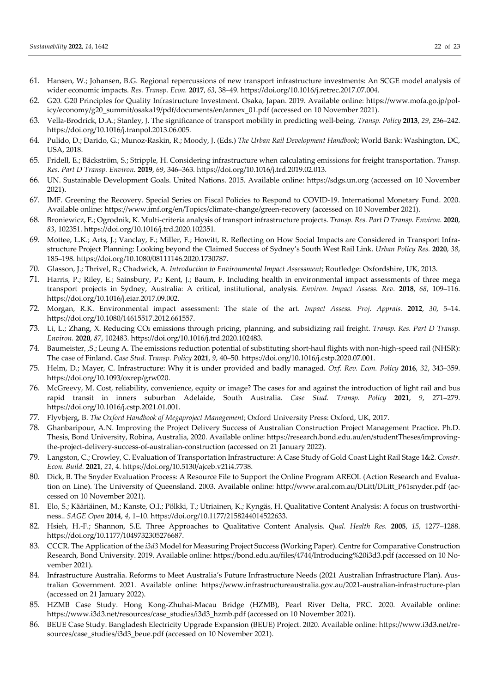- 61. Hansen, W.; Johansen, B.G. Regional repercussions of new transport infrastructure investments: An SCGE model analysis of wider economic impacts. *Res. Transp. Econ.* **2017**, *63*, 38–49. https://doi.org/10.1016/j.retrec.2017.07.004.
- 62. G20. G20 Principles for Quality Infrastructure Investment. Osaka, Japan. 2019. Available online: https://www.mofa.go.jp/policy/economy/g20\_summit/osaka19/pdf/documents/en/annex\_01.pdf (accessed on 10 November 2021).
- 63. Vella-Brodrick, D.A.; Stanley, J. The significance of transport mobility in predicting well-being. *Transp. Policy* **2013**, *29*, 236–242. https://doi.org/10.1016/j.tranpol.2013.06.005.
- 64. Pulido, D.; Darido, G.; Munoz-Raskin, R.; Moody, J. (Eds.) *The Urban Rail Development Handbook*; World Bank: Washington, DC, USA, 2018.
- 65. Fridell, E.; Bäckström, S.; Stripple, H. Considering infrastructure when calculating emissions for freight transportation. *Transp. Res. Part D Transp. Environ.* **2019**, *69*, 346–363. https://doi.org/10.1016/j.trd.2019.02.013.
- 66. UN. Sustainable Development Goals. United Nations. 2015. Available online: https://sdgs.un.org (accessed on 10 November 2021).
- 67. IMF. Greening the Recovery. Special Series on Fiscal Policies to Respond to COVID-19. International Monetary Fund. 2020. Available online: https://www.imf.org/en/Topics/climate-change/green-recovery (accessed on 10 November 2021).
- 68. Broniewicz, E.; Ogrodnik, K. Multi-criteria analysis of transport infrastructure projects. *Transp. Res. Part D Transp. Environ.* **2020**, *83*, 102351. https://doi.org/10.1016/j.trd.2020.102351.
- 69. Mottee, L.K.; Arts, J.; Vanclay, F.; Miller, F.; Howitt, R. Reflecting on How Social Impacts are Considered in Transport Infrastructure Project Planning: Looking beyond the Claimed Success of Sydney's South West Rail Link. *Urban Policy Res.* **2020**, *38*, 185–198. https://doi.org/10.1080/08111146.2020.1730787.
- 70. Glasson, J.; Thrivel, R.; Chadwick, A. *Introduction to Environmental Impact Assessment*; Routledge: Oxfordshire, UK, 2013.
- 71. Harris, P.; Riley, E.; Sainsbury, P.; Kent, J.; Baum, F. Including health in environmental impact assessments of three mega transport projects in Sydney, Australia: A critical, institutional, analysis. *Environ. Impact Assess. Rev.* **2018**, *68*, 109–116. https://doi.org/10.1016/j.eiar.2017.09.002.
- 72. Morgan, R.K. Environmental impact assessment: The state of the art. *Impact Assess. Proj. Apprais.* **2012**, *30*, 5–14. https://doi.org/10.1080/14615517.2012.661557.
- 73. Li, L.; Zhang, X. Reducing CO2 emissions through pricing, planning, and subsidizing rail freight. *Transp. Res. Part D Transp. Environ.* **2020**, *87*, 102483. https://doi.org/10.1016/j.trd.2020.102483.
- 74. Baumeister, ,S.; Leung A. The emissions reduction potential of substituting short-haul flights with non-high-speed rail (NHSR): The case of Finland. *Case Stud. Transp. Policy* **2021**, *9*, 40–50. https://doi.org/10.1016/j.cstp.2020.07.001.
- 75. Helm, D.; Mayer, C. Infrastructure: Why it is under provided and badly managed. *Oxf. Rev. Econ. Policy* **2016**, *32*, 343–359. https://doi.org/10.1093/oxrep/grw020.
- 76. McGreevy, M. Cost, reliability, convenience, equity or image? The cases for and against the introduction of light rail and bus rapid transit in inners suburban Adelaide, South Australia. *Case Stud. Transp. Policy* **2021**, *9*, 271–279. https://doi.org/10.1016/j.cstp.2021.01.001.
- 77. Flyvbjerg, B. *The Oxford Handbook of Megaproject Management*; Oxford University Press: Oxford, UK, 2017.
- 78. Ghanbaripour, A.N. Improving the Project Delivery Success of Australian Construction Project Management Practice. Ph.D. Thesis, Bond University, Robina, Australia, 2020. Available online: https://research.bond.edu.au/en/studentTheses/improvingthe-project-delivery-success-of-australian-construction (accessed on 21 January 2022).
- 79. Langston, C.; Crowley, C. Evaluation of Transportation Infrastructure: A Case Study of Gold Coast Light Rail Stage 1&2. *Constr. Econ. Build.* **2021**, *21*, 4. https://doi.org/10.5130/ajceb.v21i4.7738.
- 80. Dick, B. The Snyder Evaluation Process: A Resource File to Support the Online Program AREOL (Action Research and Evaluation on Line). The University of Queensland. 2003. Available online: http://www.aral.com.au/DLitt/DLitt\_P61snyder.pdf (accessed on 10 November 2021).
- 81. Elo, S.; Kääriäinen, M.; Kanste, O.I.; Pölkki, T.; Utriainen, K.; Kyngäs, H. Qualitative Content Analysis: A focus on trustworthiness.. *SAGE Open* **2014**, *4*, 1–10. https://doi.org/10.1177/2158244014522633.
- 82. Hsieh, H.-F.; Shannon, S.E. Three Approaches to Qualitative Content Analysis. *Qual. Health Res.* **2005**, *15*, 1277–1288. https://doi.org/10.1177/1049732305276687.
- 83. CCCR. The Application of the *i3d3* Model for Measuring Project Success (Working Paper). Centre for Comparative Construction Research, Bond University. 2019. Available online: https://bond.edu.au/files/4744/Introducing%20i3d3.pdf (accessed on 10 November 2021).
- 84. Infrastructure Australia. Reforms to Meet Australia's Future Infrastructure Needs (2021 Australian Infrastructure Plan). Australian Government. 2021. Available online: https://www.infrastructureaustralia.gov.au/2021-australian-infrastructure-plan (accessed on 21 January 2022).
- 85. HZMB Case Study. Hong Kong-Zhuhai-Macau Bridge (HZMB), Pearl River Delta, PRC. 2020. Available online: https://www.i3d3.net/resources/case\_studies/i3d3\_hzmb.pdf (accessed on 10 November 2021).
- 86. BEUE Case Study. Bangladesh Electricity Upgrade Expansion (BEUE) Project. 2020. Available online: https://www.i3d3.net/resources/case\_studies/i3d3\_beue.pdf (accessed on 10 November 2021).